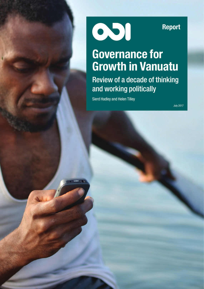001

Report

# Governance for Growth in Vanuatu

Review of a decade of thinking and working politically

Sierd Hadley and Helen Tilley

July 2017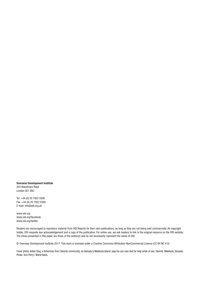Overseas Development Institute 203 Blackfriars Road London SE1 8NJ

Tel. +44 (0) 20 7922 0300 Fax. +44 (0) 20 7922 0399 E-mail: info@odi.org.uk

www.odi.org www.odi.org/facebook www.odi.org/twitter

Readers are encouraged to reproduce material from ODI Reports for their own publications, as long as they are not being sold commercially. As copyright holder, ODI requests due acknowledgement and a copy of the publication. For online use, we ask readers to link to the original resource on the ODI website. The views presented in this paper are those of the author(s) and do not necessarily represent the views of ODI.

© Overseas Development Institute 2017. This work is licensed under a Creative Commons Attribution-NonCommercial Licence (CC BY-NC 4.0).

Cover photo: Kelan Sing, a fisherman from Taremb community, on Vanuatu's Malekula Island, says he can now text for help while at sea. Taremb, Malekula, Vanuatu. Photo: Tom Perry / World Bank.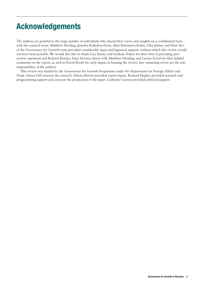# Acknowledgements

The authors are grateful to the large number of individuals who shared their views and insights on a confidential basis with the research team. Matthew Harding, Jennifer Kalpokas-Doan, Alice Kalontano-Kailes, Liku Jimmy and Fleur Tevi of the Governance for Growth team provided considerable input and logistical support, without which this review would not have been possible. We would also like to thank Lisa Denny and Graham Teskey for their time in providing peer review comments and Richard Bontjer, Anna Dorney, Simon Gill, Matthew Harding, and Lavina Tyrrel for their helpful comments on the report, as well as David Booth for early inputs in framing the review. Any remaining errors are the sole responsibility of the authors.

This review was funded by the Governance for Growth Programme under the Department for Foreign Affairs and Trade. Simon Gill oversaw the research. Adrian Hewitt provided expert inputs. Richard Hughes provided research and programming support and oversaw the production of the paper. Catherine Garson provided editorial support.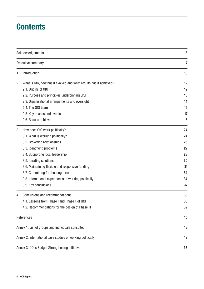# **Contents**

|    | Acknowledgements                                                  | 3                       |  |
|----|-------------------------------------------------------------------|-------------------------|--|
|    | <b>Executive summary</b>                                          | $\overline{\mathbf{7}}$ |  |
| 1. | Introduction                                                      | 10                      |  |
| 2. | What is GfG, how has it evolved and what results has it achieved? | 12                      |  |
|    | 2.1. Origins of GfG                                               | 12                      |  |
|    | 2.2. Purpose and principles underpinning GfG                      | 13                      |  |
|    | 2.3. Organisational arrangements and oversight                    | 14                      |  |
|    | 2.4. The GfG team                                                 | 16                      |  |
|    | 2.5. Key phases and events                                        | 17                      |  |
|    | 2.6. Results achieved                                             | 18                      |  |
| 3. | How does GfG work politically?                                    | 24                      |  |
|    | 3.1. What is working politically?                                 | 24                      |  |
|    | 3.2. Brokering relationships                                      | 26                      |  |
|    | 3.3. Identifying problems                                         | 27                      |  |
|    | 3.4. Supporting local leadership                                  | 28                      |  |
|    | 3.5. Iterating solutions                                          | 30                      |  |
|    | 3.6. Maintaining flexible and responsive funding                  | 31                      |  |
|    | 3.7. Committing for the long term                                 | 34                      |  |
|    | 3.8. International experiences of working politically             | 34                      |  |
|    | 3.9. Key conclusions                                              | 37                      |  |
| 4. | Conclusions and recommendations                                   | 38                      |  |
|    | 4.1. Lessons from Phase I and Phase II of GfG                     | 38                      |  |
|    | 4.2. Recommendations for the design of Phase III                  | 39                      |  |
|    | References                                                        | 45                      |  |
|    | Annex 1: List of groups and individuals consulted                 | 48                      |  |
|    | Annex 2: International case studies of working politically        | 49                      |  |
|    | Annex 3: ODI's Budget Strengthening Initiative                    | 53                      |  |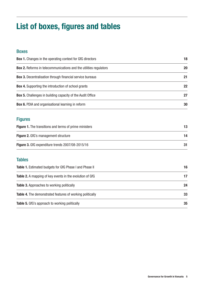# List of boxes, figures and tables

# Boxes

| <b>Box 1.</b> Changes in the operating context for GfG directors         | 18 |
|--------------------------------------------------------------------------|----|
| <b>Box 2.</b> Reforms in telecommunications and the utilities regulators | 20 |
| <b>Box 3.</b> Decentralisation through financial service bureaus         | 21 |
| <b>Box 4.</b> Supporting the introduction of school grants               | 22 |
| <b>Box 5.</b> Challenges in building capacity of the Audit Office        | 27 |
| <b>Box 6.</b> PDIA and organisational learning in reform                 | 30 |
|                                                                          |    |

# Figures

| <b>Figure 1.</b> The transitions and terms of prime ministers |    |  |
|---------------------------------------------------------------|----|--|
| <b>Figure 2.</b> GfG's management structure                   | 14 |  |
| <b>Figure 3.</b> GfG expenditure trends 2007/08-2015/16       |    |  |

# **Tables**

| <b>Table 1.</b> Estimated budgets for GfG Phase I and Phase II   | 16 |
|------------------------------------------------------------------|----|
| <b>Table 2.</b> A mapping of key events in the evolution of GfG  | 17 |
| <b>Table 3.</b> Approaches to working politically                | 24 |
| <b>Table 4.</b> The demonstrated features of working politically | 33 |
| <b>Table 5.</b> GfG's approach to working politically            | 35 |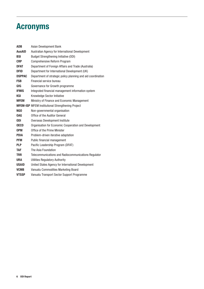# Acronyms

| <b>ADB</b>    | Asian Development Bank                                       |
|---------------|--------------------------------------------------------------|
| <b>AusAID</b> | Australian Agency for International Development              |
| <b>BSI</b>    | <b>Budget Strengthening Initiative (ODI)</b>                 |
| <b>CRP</b>    | Comprehensive Reform Program                                 |
| <b>DFAT</b>   | Department of Foreign Affairs and Trade (Australia)          |
| <b>DFID</b>   | Department for International Development (UK)                |
| <b>DSPPAC</b> | Department of strategic policy planning and aid coordination |
| <b>FSB</b>    | Financial service bureau                                     |
| GfG           | Governance for Growth programme                              |
| <b>IFMIS</b>  | Integrated financial management information system           |
| KSI           | Knowledge Sector Initiative                                  |
| <b>MFEM</b>   | Ministry of Finance and Economic Management                  |
|               | <b>MFEM-ISP</b> MFEM Institutional Strengthening Project     |
| NGO           | Non-governmental organisation                                |
| <b>OAG</b>    | Office of the Auditor General                                |
| <b>ODI</b>    | Overseas Development Institute                               |
| <b>OECD</b>   | Organisation for Economic Cooperation and Development        |
| <b>OPM</b>    | Office of the Prime Minister                                 |
| <b>PDIA</b>   | Problem-driven iterative adaptation                          |
| <b>PFM</b>    | Public financial management                                  |
| <b>PLP</b>    | Pacific Leadership Program (DFAT)                            |
| <b>TAF</b>    | The Asia Foundation                                          |
| <b>TRR</b>    | Telecommunications and Radiocommunications Regulator         |
| <b>URA</b>    | <b>Utilities Regulatory Authority</b>                        |
| <b>USAID</b>  | United States Agency for International Development           |
| <b>VCMB</b>   | Vanuatu Commodities Marketing Board                          |
| <b>VTSSP</b>  | Vanuatu Transport Sector Support Programme                   |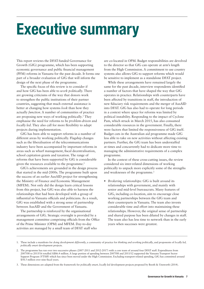# Executive summary

This report reviews the DFAT-funded Governance for Growth (GfG) programme, which has been supporting economic governance and public financial management (PFM) reforms in Vanuatu for the past decade. It forms one part of a broader evaluation of GfG that will inform the design of the next phase of the programme.

The specific focus of this review is to consider if and how GfG has been able to *work politically*. There are growing criticisms of the way that donors work to strengthen the public institutions of their partner countries, suggesting that much external assistance is better at changing how systems *look* than how they actually *function*. A number of communities of practice are proposing new ways of working politically*.* 1 They emphasise the need for reforms to be *problem-driven* and *locally led*. They also call for more flexibility to adapt projects during implementation.

GfG has been able to support reforms in a number of different areas by working politically. Flagship changes such as the liberalisation of the telecommunications industry have been accompanied by important reforms in areas such as wharf management, fiscal decentralisation, school capitation grants and taxation. The range of reforms that have been supported by GfG is considerable given the resources available to the programme.<sup>2</sup>

GfG's achievements are grounded in the design process that started in the mid-2000s. The programme built upon the success of an earlier AusAID project for strengthening the Ministry of Finance and Economic Management (MFEM). Not only did the design learn critical lessons from this project, but GfG was also able to harness the relationships that had been developed with a group of influential ni-Vanuatu officials and politicians. As a result, GfG was established with a strong sense of partnership between AusAID and the Government of Vanuatu.

The partnership is reinforced by the organisational arrangements of GfG. Strategic oversight is provided by a management committee comprising officials from the Office of the Prime Minister (OPM) and MFEM. Day-to-day activities are managed by a small team of DFAT staff who

are co-located in OPM. Budget responsibilities are devolved to the director so that GfG can operate at arm's length from the High Commission. A commitment to use country systems also allows GfG to support reforms which would be sensitive to implement as a standalone DFAT project.

While these arrangements have remained largely the same for the past decade, interview respondents identified a number of factors that have shaped the way that GfG operates in practice. Relationships with counterparts have been affected by transitions in staff, the introduction of new fiduciary risk requirements and the merger of AusAID into DFAT. GfG has also had to operate for long periods in a context where space for reforms was limited by political instability. Responding to the impact of Cyclone Pam, which struck in March 2015, has also consumed considerable resources in the government. Finally, there were factors that limited the responsiveness of GfG itself. Budget cuts in the Australian aid programme made GfG less able to take on new activities without affecting existing partners. Further, the GfG team has been understaffed at times and concurrently had to dedicate more time to managing the administrative requirements of a complex programme.

In the context of these cross-cutting issues, the review considered six inter-related dimensions of working politically to unpack more explicitly some of the strengths and weaknesses of the programme.<sup>3</sup>

**•** *Brokering relationships:* GfG is built around its relationships with government, and mainly with senior and mid-level bureaucrats. Many features of GfG, including co-location, aim to encourage close working partnerships between the GfG team and their counterparts in Vanuatu. The team also invests considerable time and effort into maintaining these relationships. However, the original sense of partnership and shared purpose has been diluted by changes in staff. The team also has less time to network than in the early years when successes were greatest.

<sup>1.</sup> These include a manifesto for *doing development differently*, a community of practice for *thinking and working politically*, and proponents of *locally led, politically smart* development projects.

<sup>2.</sup> The programme has run over two successive phases (2007-2011 and 2012-2017) with a core team of around four DFAT staff. Expenditures from 2007/08 to 2015/16 totalled A\$86.4 million. A large portion of spending between 2007/08 and 2011/12 supported the Vanuatu Transport Sector Support Program (VTSSP) which has since been moved under the High Commission. Excluding transport-related spending, GfG has committed around \$58.5 million over nine fiscal years.

<sup>3.</sup> These dimensions are adapted from the framework for *politically smart, locally led* development projects proposed by Booth & Unsworth (2014).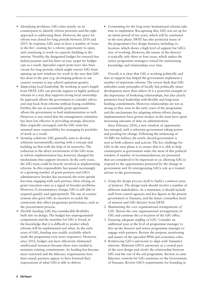- **•** *Identifying problems:* GfG relies mainly on its counterparts to identify reform priorities and the right approach to addressing them. However, the space for reform was closed for long periods between 2010 and 2015. In response, GfG aims to have a number of 'irons in the fire', waiting for a reform opportunity to open, and continuing to work on capacity-building in the interim. Notably, the designated budget for research has lacked purpose and has been an easy target for budget cuts as a result. Specialist expert posts have also been vacant for long periods, which might restrict GfG from opening up new windows for work in the way that GfG has done in the past (e.g. developing policies to use country systems to pay school capitation grants).
- **•** *Supporting local leadership:* By working at arm's length from DFAT, GfG can provide support to highly political reforms in a way that supports strong local ownership. Its approach allows the government to consider advice and step back from reforms without losing credibility. Further, the use of accountable grant agreements allows the government to lead implementation as well. However, it was noted that the management committee has been less effective in providing strategic direction than originally envisaged, and the GfG team has assumed more responsibility for managing its portfolio of work as a result.
- **•** *Iterating solutions:* GfG generally aims to develop solutions incrementally, starting with a concept and building on that with the help of its networks. The reduction in the direct involvement of the GfG team in reform implementation has, however, changed the mechanisms that support iteration. In the early years, the GfG team could be heavily involved in implementing reforms. As this responsibility has passed increasingly to a growing number of grant partners and GfG's administrative burden has increased, the team spends less time engaging with each partner, often relying on grant execution rates as a signal of broader problems. However, if circumstances change, GfG is still able to respond quickly and appropriately. The use of country systems also gives GfG an incentive to tackle the constraints that affect programme performance, such as the procurement process.
- **•** *Flexible funding:* GfG has considerable flexibility built into its design. The budget has unprogrammed components and the mandate for GfG is broad, in the knowledge that it is difficult to predict which reforms will be implemented and when. In the early years of GfG, funding was readily available which made the programme even more responsive. However, since 2012, budget cuts have effectively eliminated unallocated resources because these were needed to maintain existing commitments. As funding has become more restricted and the fiduciary requirements have been raised, partners appear to have lowered their expectations of what GfG is able to deliver.

**•** *Committing for the long term:* Institutional reforms take time to implement. Recognising this, GfG was set up for an initial period of ten years, which will be continued in the next phase. DFAT has also protected many of the programme's key design features, including colocation, which shows a high level of support for GfG's way of working. However, the tenure of the director is typically only three or four years, which makes the senior programme managers critical for maintaining knowledge and relationships over time.

Overall, it is clear that GfG is working politically and that its support has helped the government implement a number of important reforms. The review finds that GfG embodies some principles of locally led, politically smart development more than others. It is a powerful example of the importance of brokering relationships, but also clearly promotes local leadership with flexible and long-term funding commitments. However, relationships are not as strong as they were in the early years of the programme and the mechanisms for adapting reform efforts during implementation have grown weaker as the team have spent increasing amounts of time on administration.

Since February 2016, a new window of opportunity has emerged, with a reformist government taking power and pressing for change. Following the sentencing of 14 MPs for bribery, the newly elected government is seen as both cohesive and activist. The key challenge for GfG in the next phase is to ensure that it is able to help counterparts in government make the most of this political window. A number of recommendations are presented that are considered to be important in (a) allowing GfG to respond to the opportunities presented by the change in government and (b) reinvigorating GfG's role as a trusted adviser to the government:

- *1. Using the design process itself to build a common sense of purpose.* The design team should involve a number of different stakeholders. As a minimum, it should include staff from central agencies and key figures in the present government in Vanuatu, and the future counsellor, head of mission and GfG director from DFAT.
- *2. Maintaining the core organisational arrangements of GfG.* Retain the core organisational arrangements of GfG and continue the co-location of the GfG office.
- *3. Ensuring adequate staffing of GfG.* Consider an additional post at the level of programme manager to free up the director and senior programme manager to engage with partners. Review the purpose, positioning and nature of the specialist PFM and economics roles.
- *4. Reinforcing GfG's autonomy to align with Vanuatu's interests.* Maintain GFG's autonomy as a central part of the next design and clarify the relationship between GfG and the rest of the aid programme. Review ex-ante fiduciary controls for GfG assistance to the Government of Vanuatu. Review GfG's requirements for branding in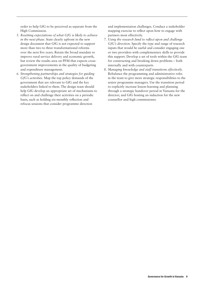order to help GfG to be perceived as separate from the High Commission.

- *5. Resetting expectations of what GfG is likely to achieve in the next phase.* State clearly upfront in the new design document that GfG is not expected to support more than two to three transformational reforms over the next five years. Retain the broad mandate to improve rural service delivery and economic growth, but review the results area on PFM that expects crossgovernment improvements in the quality of budgeting and expenditure management.
- *6. Strengthening partnerships and strategies for guiding GfG's activities.* Map the top policy demands of the government that are relevant to GfG and the key stakeholders linked to them. The design team should help GfG develop an appropriate set of mechanisms to reflect on and challenge their activities on a periodic basis, such as holding six-monthly reflection and refocus sessions that consider programme direction

and implementation challenges. Conduct a stakeholder mapping exercise to reflect upon how to engage with partners most effectively.

- *7. Using the research fund to reflect upon and challenge GfG's direction.* Specify the type and range of research inputs that would be useful and consider engaging one or two providers with complementary skills to provide this support. Develop a set of tools within the GfG team for constructing and breaking down problems – both internally and with counterparts
- *8. Managing knowledge and staff transitions effectively*. Rebalance the programming and administrative roles in the team to give more strategic responsibilities to the senior programme managers. Use the transition period to explicitly increase lesson-learning and planning through a strategic handover period in Vanuatu for the director; and GfG hosting an induction for the new counsellor and high commissioner.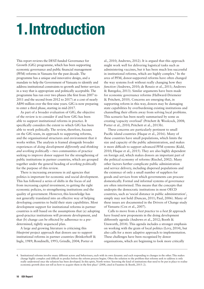# 1.Introduction

This report reviews the DFAT-funded Governance for Growth (GfG) programme, which has been supporting economic governance and public financial management (PFM) reforms in Vanuatu for the past decade. The programme has a unique and innovative design, and a mandate to help the Government of Vanuatu to identify and address institutional constraints to growth and better services in a way that is appropriate and politically acceptable. The programme has run over two phases (the first from 2007 to 2011 and the second from 2012 to 2017) at a cost of nearly A\$90 million over the first nine years. GfG is now preparing to enter a third phase, starting in mid-2017.

As part of a broader evaluation of GfG, the objective of the review is to consider if and how GfG has been able to support institutional reforms in practice. It specifically considers the extent to which GfG has been able to work politically. The review, therefore, focuses on the GfG team, its approach to supporting reforms, and the organisational structures and environment that it works within. The analysis is framed alongside broader experiences of *doing development differently* and *thinking and working politically* – two communities of practice seeking to improve donor support for the strengthening of public institutions in partner countries, which are grouped together under the general heading of *working politically*  for the purpose of this review.

There is increasing awareness in aid agencies that politics is important for economic and social development. This has followed a series of shifts in the focus of aid from increasing capital investment, to getting the right economic policies, to strengthening institutions and the quality of government. However, this knowledge has not generally translated into an effective way of helping developing countries to build their state capabilities. Most development support for institutional reforms in partner countries is still based on the assumptions that (a) adopting good-practice institutions will promote development, and that (b) change can be effected by adherence to a predetermined, tightly sequenced plan.

A large and growing literature is criticising this *blueprint* project approach that donors use to support institutional reforms in partner countries (Brinkerhoff & Ingle, 1989; Rondinelli, 1993; Grindle, 2004; Porter et

al., 2010; Andrews, 2012). It is argued that this approach might work well for delivering logistical tasks such as administering vaccines, but it has been much less successful in institutional reforms, which are highly complex.<sup>4</sup> In the area of PFM, donor-supported reforms have often changed the way systems *look* without really changing how they *function* (Andrews, 2010; de Renzio et al., 2011; Andrews & Bategeka, 2013). Similar arguments have been made for economic governance reforms (Hallward-Driemeier & Pritchett, 2010). Concerns are emerging that, in supporting reform in this way, donors may be damaging state capabilities by overburdening existing institutions and channelling their efforts away from solving local problems. This scenario has been neatly summarised by some as creating 'capacity overload' (Pritchett & Woolcock, 2008; Porter et al., 2010; Pritchett et al., 2013b).

These concerns are particularly pertinent to small Pacific island countries (Haque et al., 2016). Many of these countries have small populations, which limits the size and capacity of the public administration, and makes it more difficult to support advanced PFM systems (Kidd, 2010; Haque et al., 2015). They are also highly dependent on foreign aid, which makes donors an important part of the political economy of reforms (Riechel, 2002). Many other factors further complicate public administration and service delivery, including dispersed populations and the existence of only a small number of suppliers for goods and services from which governments can procure domestically. Formal and informal systems of governance are often intertwined. This means that the concepts that underpin the democratic institutions in most OECD countries, such as 'social distance in public administration', simply may not hold (Duncan, 2011; Paul, 2006). Many of these issues are documented in the Drivers of Change study of Vanuatu (Cox et al., 2007).

Calls to move from a *best practice* to a *best fit* approach have found new proponents in the doing development differently agenda (Andrews et al., 2012; Booth & Unsworth, 2014). This agenda includes a stronger emphasis on working with the grain of local politics (Levy, 2014), but also calls for a more adaptive approach to implementation. These challenges have been recognised by donor organisations, which are beginning to look more critically

<sup>4.</sup> Institutional reforms involve many different actors and behaviours, each with its own dynamic and each responding to changes in the other. This makes change highly complex and difficult to predict before the reform process begins. Often the solution to the problem that reforms seek to address is only really understood once the solution has been developed. In this spirit, North writes: 'knowing the kind of institutions that need to be put in place to realise economic growth does not tell us how to acquire them in the first place' (2008, cited in Faustino & Booth, 2015: 2).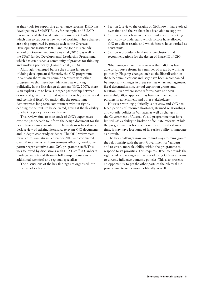at their tools for supporting governance reforms. DFID has developed new SMART Rules, for example, and USAID has introduced the Local Systems Framework, both of which aim to support a new way of working. These changes are being supported by groups such as the Overseas Development Institute (ODI) and the John F. Kennedy School of Government (Andrews et al., 2015), as well as the DFAT-funded Developmental Leadership Programme, which has established a community of practice for thinking and working politically (Dasandi et al., 2016).

Although it emerged before the current language of doing development differently, the GfG programme in Vanuatu shares many common features with other programmes that have been identified as working politically. In the first design document (GfG, 2007), there is an explicit aim to have a 'deeper partnership between donor and government, [that is] able to go beyond sectoral and technical fixes'. Operationally, the programme demonstrates long-term commitment without tightly defining the outputs to be delivered, giving it the flexibility to adapt as policy priorities change.

This review aims to take stock of GfG's experiences over the past decade to inform the design document for the next phase of implementation. The analysis is based on a desk review of existing literature, relevant GfG documents and in-depth case study evidence. The ODI review team travelled to Vanuatu in September 2016 and conducted over 30 interviews with government officials, development partner representatives and GfG programme staff. This was followed by discussions with DFAT staff in Canberra. Findings were tested through follow-up discussions with additional technical and regional specialists.

The discussions of the key findings are organised into three broad sections:

- **•** Section 2 reviews the origins of GfG, how it has evolved over time and the results it has been able to support.
- **•** Section 3 uses a framework for thinking and working politically to understand which factors have allowed GfG to deliver results and which factors have worked as constraints.
- **•** Section 4 provides a final set of conclusions and recommendations for the design of Phase III of GfG.

What emerges from the review is that GfG has been able to support reforms in a number of areas by working politically. Flagship changes such as the liberalisation of the telecommunications industry have been accompanied by important changes in areas such as wharf management, fiscal decentralisation, school capitation grants and taxation. Even where some reforms have not been successful, GfG's approach has been commended by partners in government and other stakeholders.

However, working politically is not easy, and GfG has faced periods of resource shortages, strained relationships and volatile politics in Vanuatu, as well as changes in the Government of Australia's aid programme that have limited GfG's ability to broker or facilitate reforms. While the programme has become more institutionalised over time, it may have lost some of its earlier ability to innovate as a result.

The key challenges now are to find ways to reinvigorate the relationship with the new Government of Vanuatu and to create more flexibility within the programme to respond to its priorities. This requires DFAT to provide the right kind of backing – and to avoid using GfG as a means to directly influence domestic policies. This also presents an opportunity to get the other parts of the bilateral aid programme to work more politically as well.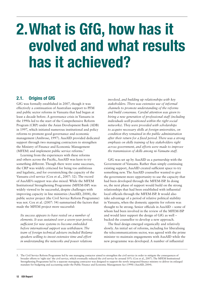# 2.What is GfG, how has it evolved and what results has it achieved?

# 2.1. Origins of GfG

GfG was formally established in 2007, though it was effectively a continuation of Australian support to PFM and public sector reforms in Vanuatu that had begun at least a decade before. A governance crisis in Vanuatu in the 1990s led to the start of the Comprehensive Reform Program (CRP) under the Asian Development Bank (ADB) in 1997, which initiated numerous institutional and policy reforms to promote good governance and economic management (Ambrose, 1997). AusAID provided dedicated support through two managing contractors to strengthen the Ministry of Finance and Economic Management (MFEM) and implement public service reforms.<sup>5</sup>

Learning from the experiences with these reforms and others across the Pacific, AusAID was keen to try something different. Though there were some successes, the CRP was widely criticised for being too ambitious and legalistic, and for overstretching the capacity of the Vanuatu civil service (Cox et al., 2007: 32). The record of AusAID's support was also mixed. While the MFEM Institutional Strengthening Programme (MFEM-ISP) was widely viewed to be successful, despite challenges with improving capacity in line ministries (AusAID, 2004), the public sector project (the Civil Service Reform Programme) was not. Cox et al. (2007: 54) summarised the factors that made the MFEM project more successful:

*Its success appears to have rested on a number of elements. It was sustained over a seven-year period, sufficient for new systems to become embedded before international support was withdrawn. The team of foreign technical advisers included Bislama speakers willing to invest extensive time and effort in understanding the networks and power relations* 

*involved, and building up relationships with key stakeholders. There was extensive use of informal channels to promote understanding of the reforms and build consensus. Careful attention was given to hiring a new generation of professional staff (including individuals well-positioned within the right social networks). They were provided with scholarships to acquire necessary skills at foreign universities, on condition they remained in the public administration after their return for a fixed period. There was a strong emphasis on skills training of key stakeholders right across government, and efforts were made to improve the transmission of skills among ni-Vanuatu staff.*

GfG was set up by AusAID as a partnership with the Government of Vanuatu. Rather than simply continuing existing support, AusAID created sufficient space to try something new. The AusAID counsellor wanted to give the government more opportunity to use the capacity that had been developed through the MFEM-ISP. In doing so, the next phase of support would build on the strong relationships that had been established with influential local officials through the MFEM-ISP. It would also take advantage of a period of relative political stability in Vanuatu, when the domestic appetite for reform was thought to be strong. Senior officials in AusAID – some of whom had been involved in the review of the MFEM-ISP and would later support the design of GfG as well – backed the counsellor to develop a new approach.

The final design emerged organically and relatively slowly. An initial set of reforms, including for liberalising the telecommunications sector, was agreed with the prime minister to maintain engagements with AusAID while the new programme was developed. A number of influential

<sup>5.</sup> The Civil Service Reform Programme led by one managing contactor aimed to strengthen the civil service in order to mitigate the consequences of broader efforts to 'right size' the civil service, which eventually reduced the civil service by around 10% (Cox et al., 2007). The MFEM Institutional Strengthening Programme led by a separate managing contractor was designed to support the newly integrated finance ministry to deliver its enlarged mandate for budgeting and accounting under the Public Finance and Economic Management Act (1998) (AusAID, 2004).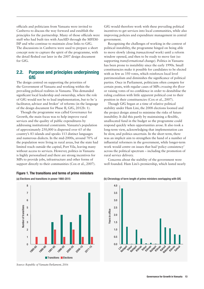officials and politicians from Vanuatu were invited to Canberra to discuss the way forward and establish the principles for the partnership. Many of those officials were staff who had built ties with AusAID through the MFEM-ISP and who continue to maintain close links to GfG. The discussions in Canberra were used to prepare a short concept note to capture the spirit of the programme, with the detail fleshed out later in the 2007 design document for GfG.

# 2.2. Purpose and principles underpinning **GfG**

The design centred on supporting the priorities of the Government of Vanuatu and working within the prevailing political realities in Vanuatu. This demanded significant local leadership and ownership, where the role of GfG would not be to lead implementation, but to be 'a facilitator, advisor and broker' of reforms (in the language of the design document for Phase II, GfG, 2012b: 1).

Though the programme was called Governance for Growth, the main focus was to help improve rural services and the quality of public expenditures by addressing institutional constraints. Vanuatu's population of approximately 250,000 is dispersed over 65 of the country's 83 islands and speaks 113 distinct languages and numerous dialects. In the mid-2000s, around 70% of the population were living in rural areas, but the state had limited reach outside the capital, Port Vila, leaving many without access to services. However, politics in Vanuatu is highly personalised and there are strong incentives for MPs to provide jobs, infrastructure and other forms of support directly to their communities (Cox et al., 2007).





*Source: Republic of Vanuatu Parliament, 2016*

GfG would therefore work with these prevailing political incentives to get services into local communities, while also improving policies and expenditure management in central government.

Recognising the challenges of working in the context of political instability, the programme hinged on being able to move slowly (doing *transactional* work) until a reform window opened, and then to be ready to move fast (so supporting *transformational* change). Politics in Vanuatu has been prone to instability since the early 1990s. Small constituencies make it possible for candidates to be elected with as few as 350 votes, which reinforces local level patrimonialism and diminishes the significance of political parties. Once in Parliament, politicians often compete for certain posts, with regular cases of MPs *crossing the floor* or raising votes of no confidence in order to destabilise the ruling coalition with little apparent political cost to their position in their constituencies (Cox et al., 2007).

Though GfG began at a time of relative political stability under Ham Lini, the 2008 elections loomed and the project design aimed to minimise the risks of future instability. It did this partly by maintaining a flexible, unallocated fund in the budget so the programme could respond quickly when opportunities arose. It also took a long-term view, acknowledging that implementation can be slow, and politics uncertain. In the short term, there was an implicit aim to strengthen the hand of a number of influential reformers in the government, while longer-term work would centre on issues that had 'policy consistency' across the political spectrum – including the promotion of rural service delivery.

Concerns about the stability of the government were well founded. Ham Lini's premiership, which lasted nearly



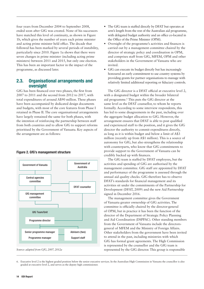four years from December 2004 to September 2008, ended soon after GfG was created. None of his successors have matched this level of continuity, as shown in Figure 1b, which gives the number of years each prime minister and acting prime minister held office. The decade that followed has been marked by several periods of instability, particularly since 2010. Figure 1a shows that there were seven changes in prime minister (including acting prime ministers) between 2011 and 2015, but only one election. This has been an important factor in the impact of the programme, as discussed later.

# 2.3. Organisational arrangements and oversight

GfG has been financed over two phases, the first from 2007 to 2011 and the second from 2012 to 2017, with total expenditures of around A\$90 million. These phases have been accompanied by dedicated design documents and budgets, with most of the core features from Phase I retained in Phase II. The core organisational arrangements have largely remained the same for both phases, with the intention of reinforcing the partnership between staff from both countries and to allow GfG to support reforms prioritised by the Government of Vanuatu. Key aspects of the arrangement are as follows:



#### Figure 2. GfG's management structure

- **•** The GfG team is staffed directly by DFAT but operates at arm's length from the rest of the Australian aid programme, with delegated budget authority and an office co-located in the Office of the Prime Minister (OPM).
- **•** Oversight of the programme's activities and finances is carried out by a management committee chaired by the director of strategic policy and coordination in OPM, and comprises staff from GfG, MFEM, OPM and other stakeholders in the Government of Vanuatu who are invited.
- **•** GfG can execute its budget directly but has increasingly honoured an early commitment to use country systems by providing grants for partner organisations to manage with relatively limited additional reporting or fiduciary controls.

The GfG director is a DFAT official at executive level 2, with a designated budget within the broader bilateral aid programme.<sup>6</sup> This puts the GfG director at the same level as the DFAT counsellor, to whom he reports formally. According to some interview respondents, this has led to some disagreements in the past, including over the aggregate budget allocation to GfG. However, the arrangement ensures that DFAT is able to post qualified and experienced staff to the position, and it gives the GfG director the authority to commit expenditures directly, as long as it is within budget and below a limit of A\$3 million (recently up from A\$1 million). This is a source of autonomy for GfG, but also strengthens the relationship with counterparts, who know that GfG commitments to provide support to the Government of Vanuatu can be credibly backed up with finances.

The GfG team is staffed by DFAT employees, but the activities and spending of GfG are authorised by the management committee. GfG staff are appointed by DFAT and performance of the programme is assessed through the annual aid quality checks. GfG therefore has to observe DFAT's standards for financial management and its activities sit under the commitments of the Partnership for Development (DFAT, 2009) and the new Aid Partnership signed in December 2016.

The management committee gives the Government of Vanuatu greater ownership of GfG activities. The committee is officially chaired by the director-general of OPM, but in practice it has been the function of the director of the Department of Strategic Policy Planning and Aid Coordination (DSPPAC). Other standing members from the Government of Vanuatu include the directorsgeneral of MFEM and the Ministry of Foreign Affairs. Other stakeholders from the government have been invited to attend in the past, including ministries with which GfG has formal grant agreements. The High Commission is represented by the counsellor and the GfG team is represented by the GfG director. This group is responsible

<sup>6.</sup> Executive level 2 is the highest graded position below the senior executive services. In the Australian High Commission in Vanuatu the councillor is also graded at executive level 2, and serves as the deputy high commissioner.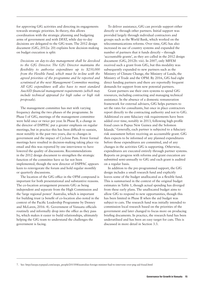for approving GfG activities and directing its engagements towards strategic priorities. In theory, this allows coordination with the strategic planning and budgeting arms of government and with DFAT, while day-to-day decisions are delegated to the GfG team. The 2012 design document (GfG, 2012a: 20) explains how decision-making on budget execution is split:

*Decisions on day-to-day management shall be devolved to the GfG Director. The GfG Director maintains the flexibility to authorise expenditure up to \$250,000 from the Flexible Fund, which must be in-line with the agreed priorities of the programme and be reported and scrutinised at the next Management Committee meeting. All GfG expenditure will also have to meet standard AusAID financial management requirements (which may include technical appraisal for high value or high risk proposals).*

The management committee has met with varying frequency during the two phases of the programme. In Phase I of GfG, meetings of the management committee were held once or twice per year. In Phase II, a change in the director of DSPPAC put a greater emphasis on regular meetings, but in practice this has been difficult to sustain, most notably in the past two years, due to changes in government and the impact of Cyclone Pam. Fewer formal meetings have resulted in decision-making taking place via email and this was reported by one interviewee to have lowered the quality of discussions. Recommendations in the 2012 design document to strengthen the strategic function of the committee have so far not been implemented, though the new director of DSPPAC appears keen to reinvigorate the forum and hold regular monthly or quarterly discussions.

The location of the GfG office in the OPM compound is important for both presentational and substantive reasons. The co-location arrangement presents GfG as being independent and separate from the High Commission and the 'large regional power' Australia, which is important for building trust (a benefit of co-location also noted in the context of the Pacific Leadership Programme by Denney and McLaren, 2016: 4). Government of Vanuatu officials routinely and informally drop into the office as they pass by, which makes it easier to build relationships, ultimately helping the GfG team to understand the challenges the government is facing.

To deliver assistance, GfG can provide support either directly or through other partners. Initial support was provided largely through individual contractors and groups such as the World Bank, which worked on the telecommunications reforms. Over time, GfG has also increased its use of country systems and expanded the number of partners that it funds directly – through 'accountable grants', as they are called in the 2012 design document (GfG, 2012b: viii). In 2007, only MFEM received such a grant from GfG, but this modality was subsequently expanded to new partners such as the Ministry of Climate Change, the Ministry of Lands, the Ministry of Trade and the OPM. By 2016, GfG had eight direct funding partners and there are reportedly frequent demands for support from new potential partners.

Grant partners use their own systems to spend GfG resources, including contracting and managing technical assistance. In the absence of a domestic remuneration framework for external advisers, GfG helps partners to set the rates for consultants, but once in place contractors report directly to the contracting authority and not to GfG. Additional ex-ante fiduciary risk requirements have been added over time, notably in 2013, following high-profile fraud cases in Papua New Guinea and the Solomon Islands.7 Generally, each partner is subjected to a fiduciary risk assessment before receiving an accountable grant. GfG then expects to be informed of any planned expenditures before those expenditures are committed, and of any changes in the activities GfG is supporting. Otherwise, expenditures are executed entirely through partner systems. Reports on progress with reforms and grant execution are submitted semi-annually to GfG and each grant is audited on a regular basis.

In addition to the pre-programmed support, the GfG design includes a small research fund and explicitly leaves some of the budget unallocated as a flexible fund. This is summarised in the context of the original budget estimates in Table 1, though actual spending has diverged from these early plans. The unallocated budget aims to allow GfG to respond to new opportunities, though this has been limited in Phase II when the aid budget was subject to cuts. The research fund was initially intended to commission local research based on the priorities of the government and later changed to focus more on producing briefing documents. In practice, the research fund has been underutilised and has been an easy target for cuts. This is discussed in more detail in Section 3.3.

7. See: http://asopa.typepad.com/asopa\_people/2015/08/australias-foreign-minister-had-to-intervene-over-png-aid-fraud.html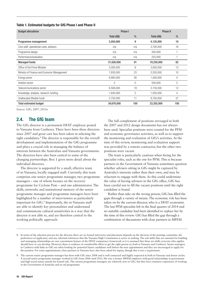#### Table 1. Estimated budgets for GfG Phase I and Phase II

| <b>Budget allocations</b>                   | Phase I     |      | <b>Phase II</b> |      |  |
|---------------------------------------------|-------------|------|-----------------|------|--|
|                                             | Total (A\$) | $\%$ | Total (A\$)     | $\%$ |  |
| Programme management                        | 3,050,000   | 9    | 4,125,000       | 18   |  |
| Core staff, operational costs, advisers     | n/a         | n/a  | 3,700,000       | 16   |  |
| Programme design                            | n/a         | n/a  | 200,000         |      |  |
| Performance/evaluation                      | n/a         | n/a  | 225,000         |      |  |
| <b>Managed funds</b>                        | 31,626,000  | 91   | 19,230,000      | 82   |  |
| Office of the Prime Minister                | 3,000,000   | 9    | 3,000,000       | 13   |  |
| Ministry of Finance and Economic Management | 7,830,000   | 23   | 2,250,000       | 10   |  |
| Energy sector                               | 8,900,000   | 26   | 1,000,000       | 4    |  |
| Aviation sector                             | $\left($    | 0    | 500,000         | 2    |  |
| Telecommunications sector                   | 6,506,000   | 19   | 2,730,000       | 12   |  |
| Knowledge, analysis, research, briefing     | 1,640,000   | 5    | 1,050,000       | 4    |  |
| Unallocated (flexible fund)                 | 3,750,000   | 11   | 8,700,000       | 37   |  |
| <b>Total estimated budget</b>               | 34,676,000  | 100  | 23,355,000      | 100  |  |

*Source: GfG, 2007, 2012a*

# 2.4. The GfG team

The GfG director is a permanent DFAT employee posted to Vanuatu from Canberra. There have been three directors since 2007 and great care has been taken in selecting the right candidates.<sup>8</sup> The director is responsible for the overall development and implementation of the GfG programme and plays a crucial role in managing the balance of interests between the Australian and Vanuatu governments. The directors have also been central to some of the changing partnerships. Box 1 gives more detail about the individual directors.

The director is supported by a small, effective team of ni-Vanuatu, locally engaged staff. Currently, this team comprises one senior programme manager, two programme managers – one of whom focuses on the recovery programme for Cyclone Pam – and one administrator. The skills, networks and institutional memory of the senior programme manager and programme managers have been highlighted by a number of interviewees as particularly important for GfG.9 Importantly, the ni-Vanuatu staff are able to identify key personalities and understand and communicate cultural sensitivities in a way that the director is not able to, and are therefore central to the working politically approach.

The full complement of positions envisaged in both the 2007 and 2012 design documents has not always been used. Specialist positions were created for the PFM and economic governance activities, as well as to support the monitoring and evaluation of GfG's activities. At the time of this review, monitoring and evaluation support was provided by a remote contractor, but the other two positions were vacant.

The team is particularly cautious when hiring for the specialist roles, such as the one for PFM. This is because partners in the Government of Vanuatu sometimes question whether advisers sitting in GfG might be captured by Australia's interests rather than their own, and may be reluctant to engage with them. As this could undermine the value of having advisers in the GfG office, GfG has been careful not to fill the vacant positions until the right candidate is found.

Rather than take on the wrong person, GfG has filled the gaps through a variety of means. The economic role has been taken on by the current director, who is a DFAT economist. The last PFM specialist left in the final quarter of 2014 and no suitable candidate had been identified to replace her by the time of this review. GfG has filled the gap through a combination of discussions with close partners in MFEM

<sup>8.</sup> In terms of the selection process for the director, there are no formal interviews and placement depends on the decision of the postings committee, the preferences of applicants, and any informal references that the Vanuatu High Commission is active in seeking. The soft skills that are essential for building and managing relationships are not a prominent feature of the DFAT competency framework as it is assumed that these are skills everyone who applies should have or can develop. However, there is evidence of considerable effort to get the right person in, both in Vanuatu and Canberra. Senior managers in Canberra with links to GfG are often looking for potential future candidates well before the next appointment and they are encouraged to apply for the position. For some appointments, close partners in Vanuatu have also been asked for inputs, though this is not a requirement.

<sup>9.</sup> The current senior programme manager has been with GfG since 2008 and is well connected and highly respected in both ni-Vanuatu and donor circles. A second senior programme manager worked in GfG from 2006 until 2012. He was a former MFEM employee with good relationships in government and high social status outside his formal role. The current programme managers are relatively new to GfG, but they have extensive experience of working in the Government of Australia and its aid programme.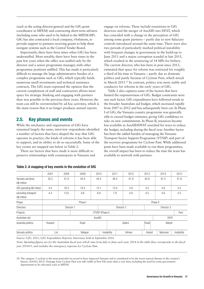(such as the acting director-general and the GfG grant coordinator in MFEM) and contracting short-term advisers (including some who used to be linked to the MFEM-ISP). GfG has also contracted a local company, vSolutions, to provide support to partners receiving grants to help them navigate systems such as the Central Tender Board.

Importantly, there have been times when GfG has been understaffed. Most notably, there have been times in the past few years when the office was staffed only by the director and a senior programme manager, with other programme positions unfilled. This has made it particularly difficult to manage the large administrative burden of a complex programme such as GfG, which typically funds numerous small investments and technical assistance contracts. The GfG team expressed the opinion that the current complement of staff and contractors allows more space for strategic thinking and engaging with partners than was possible in the previous three years. However, the team can still be overstretched by ad hoc activities, which is the main reason that it no longer produces annual reports.

# 2.5. Key phases and events

While the mechanics and organisation of GfG have remained largely the same, interview respondents identified a number of factors that have shaped the way that GfG operates in practice, the kinds of reforms it has been able to support, and its ability to do so successfully. Some of the key events are mapped out below in Table 2.

There are factors that have made it more difficult to preserve relationships with counterparts in Vanuatu and engage on reforms. These include transitions in GfG directors and the merger of AusAID into DFAT, which has coincided with a change in the perception of GfG among some grant partners – partly due to new fiduciary controls introduced around the same time. There were also two periods of particularly marked political instability with frequent changes in government in the build-up to June 2011 and a major corruption scandal in late 2015, which resulted in the sentencing of 14 MPs for bribery. The current director, who has been in post since 2013, estimated that space for reform was restricted for roughly a third of his time in Vanuatu – partly due to domestic politics and partly because of Cyclone Pam, which struck in March 2015.10 In contrast, politics was more stable and conducive for reforms in the early years of GfG.

Table 2 also captures some of the factors that have limited the responsiveness of GfG. Budget constraints were one such factor. GfG expenditures have followed trends in the broader Australian aid budget, which increased rapidly from 2007 to 2012 and has subsequently been cut. In Phase I of GfG, the Vanuatu country programme was generally able to exceed budget estimates, giving GfG confidence to take on new commitments. In Phase II, resources became less available as AusAID/DFAT searched for ways to reduce the budget, including during the fiscal year. Another factor has been the added burden of managing the Vanuatu Transport Sector Support Programme (VTSSP) and part of the recovery programme for Cyclone Pam. While additional posts have been made available to run these programmes, the overall impact has been to reduce the time the team has available to network with partners.

|                                    | 2007            | 2008 | 2009    | 2010 |             | 2011       | 2012       |          | 2013        |        | 2014    | 2015        |
|------------------------------------|-----------------|------|---------|------|-------------|------------|------------|----------|-------------|--------|---------|-------------|
| Vanuatu aid (Aus)<br>A\$ million   | 30.3            | 41.9 | 45.6    | 44.2 |             | 48.4       | 41.8       |          | 40.9        |        | 81.5    | 41.9        |
| GfG spending A\$ million           | 4.4             | 16.4 | 18.4    | 14.1 |             | 15.0       | 4.8        |          | 4.5         |        | 4.6     | 4.2         |
| excluding transport<br>A\$ million | 4.4             | 12.6 | 8.6     | 6.9  |             | 7.9        | 4.8        |          | 4.5         |        | 4.6     | 4.2         |
| Phase                              | Phase I         |      |         |      |             |            |            | Phase II |             |        |         |             |
| <b>Directors</b>                   | Director 1      |      |         |      |             | Director 2 | Director 3 |          |             |        |         |             |
| Projects                           | VTSSP (Phase I) |      |         |      |             |            |            |          |             |        |         | Pam         |
| Australian aid                     | AusAID          |      |         |      |             |            |            |          | <b>DFAT</b> |        |         |             |
| Australia politics                 | Howard          |      | Rudd    |      |             | Gillard    |            | Rudd     |             | Abbott |         |             |
| Vanuatu politics                   | Lini            |      | Natapei |      | Instability |            | Kilman     |          | Kalosil     |        | Natuman | Instability |

| Table 2. A mapping of key events in the evolution of GfG |
|----------------------------------------------------------|
|----------------------------------------------------------|

*Source: GfG, 2011; GfG Expenditure Reports; Interviews held in September 2016*

*Note: Spending figures are for the Australian fiscal year which runs from July to June each year; 2014 in the table thus corresponds to the fiscal year 2014/15, and includes the emergency response for Cyclone Pam.*

10. The category 5 cyclone is the most powerful on record to have impacted Vanuatu and is considered to be the worst natural disaster in the country's history (ANAO, 2015). Damage from Cyclone Pam was still visible in Port Vila more than a year later, including the need for some government departments to be relocated, such as MFEM.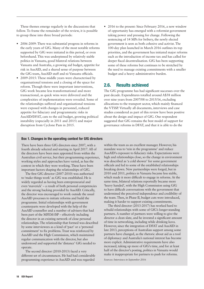These themes emerge regularly in the discussions that follow. To frame the remainder of the review, it is possible to group these into three broad periods:

- **•** 2006-2009: There was substantial progress in reforms in the early years of GfG. Many of the most notable reforms supported by GfG were initiated in this period, or even beforehand. This was underpinned by relatively stable politics in Vanuatu, good bilateral relations between Vanuatu and Australia, a growing aid budget, appetite for risk in AusAID, and a shared sense of purpose between the GfG team, AusAID staff and ni-Vanuatu officials.
- **•** 2009-2015: These middle years were characterised by organisational tensions and a closing of the space for reform. Though there were important interventions, GfG work became less transformational and more transactional, as quick wins were delivered and the complexities of implementation were revealed. Some of the relationships suffered and organisational tensions were exposed with changes in personnel, reduced appetite for fiduciary and programmatic risks in AusAID/DFAT, cuts to the aid budget, growing political instability (especially in 2011 and 2015) and major disruption from Cyclone Pam in 2015.
- **•** 2016 to the present: Since February 2016, a new window of opportunity has emerged with a reformist government taking power and pressing for change. Following the sentencing of 14 MPs for bribery, the newly elected government is seen as both cohesive and activist. The 100-day plan launched in March 2016 outlines its top priorities, and the government has initiated major reforms such as the introduction of income tax and has called for deeper fiscal decentralisation. GfG has been supporting some of these reforms but continues to be stretched by the need to manage existing commitments with a smaller budget and a heavy administrative burden.

# 2.6. Results achieved

The GfG programme has had significant successes over the past decade. Expenditures totalled around A\$58 million over nine years from 2007/08 to 2015/16, excluding allocations to the transport sector, which mainly financed the VTSSP. Virtually all documents, interviews and case studies considered as part of this review have been positive about the design and impact of GfG. One respondent suggested that GfG remains the best model of support for governance reforms in DFAT, and that it is able to do the

## Box 1. Changes in the operating context for GfG directors

There have been three GfG directors since 2007, with a fourth already selected and starting in April 2017. All of the directors have been men appointed from within the Australian civil service, but their programming experience, working styles and approaches have varied, as has the context in which they were working. These have been important factors shaping the relationships of GfG.

The first GfG director (2007-2010) was authorised to 'make things work' as GfG was established. He is widely regarded as having been entrepreneurial and even 'maverick' – a result of both personal competencies and the strong backing provided by AusAID. Critically, the director was encouraged to work outside the usual AusAID processes to initiate reforms and build the programme. Initial relationships with government counterparts were developed with the help of the AusAID counsellor and a number of advisers that had been part of the MFEM-ISP – effectively including the director in an existing network of close personal relationships. The relationship that formed was described by some interviewees as a kind of 'pact' or a 'personal commitment' to fix problems. Trust was reinforced by AusAID and the High Commission, which maintained regular communication with the director, but also understood and supported the 'distance' GfG needed to operate.

The second director (2010-2013) faced a very different set of circumstances. He had had considerable programming experience in AusAID and was regarded

within the team as an excellent manager. However, his mandate was to 'rein in the programme' and reduce AusAID's exposure to fiduciary risks. Expectations were high and relationships close, so the change in environment was described as 'a cold shower' for some government officials and led to some of the established relationships breaking down. New partnerships were forged, but in 2010 and 2011, politics in Vanuatu became less stable, which made it more difficult to engage in reforms. At the same time, bilateral relations reportedly became more 'heavy handed', with the High Commission using GfG to have difficult conversations with the government that undermined the perceived independence and credibility of the team. Then, in Phase II, budget cuts were introduced, making it harder to support existing commitments.

The third director (2013-2017) has worked hard to rebuild relationships with some of GfG's longer-standing partners. A number of partners were willing to give the director a clean slate, and he invested a significant amount of time in networking, including while drinking kava. However, since the integration of DFAT and AusAID in late 2013, perceptions of Australian support among some partners have changed, as the rhetoric about aid as a tool of diplomacy and Australia's national interest has become more explicit. Administrative requirements have also increased, taking up more of GfG's time, and for at least half of the director's posting, politics in Vanuatu would make it inappropriate for partners to push for reforms.

*Sources: Interviews in September 2016*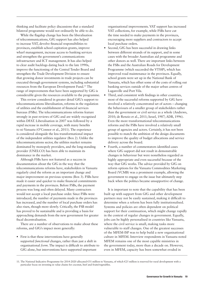thinking and facilitate policy discussions that a standard bilateral programme would not ordinarily be able to do.

While the flagship change has been the liberalisation of telecommunications, GfG support has also helped to increase VAT, devolve financial responsibilities to provinces, establish school capitation grants, improve wharf management, increase access to banking services and strengthen the government's communications infrastructure and ICT management. It has also helped to clear audit backlogs dating back to the late 1990s, improve the functioning of the Central Tender Board and strengthen the Trade Development Division to ensure that growing donor investments in trade projects can be executed through government systems, including substantial resources from the European Development Fund.11 The range of improvements that have been supported by GfG is considerable given the resources available to the programme.

This review considered in greater detail GfG's support to telecommunications liberalisation, reforms in the regulation of utilities and the establishment of financial services bureaus (FSBs). The telecommunications reforms feature strongly in past reviews of GfG and are widely recognised within DFAT. Liberalisation in 2007 was followed by a rapid increase in mobile coverage, with many benefits to ni-Vanuatu (O'Connor et al., 2011). The experience is considered alongside the less transformational impact of the independent utilities regulator (Box 2). Unlike the telecommunications sector, the utilities market remains dominated by monopoly providers, and the long-standing provider (UNELCO) has been able to maintain its dominance in the market.

Although FSBs have not featured as a success in documentation about the GfG in the way that the telecommunications reforms have, stakeholders in Vanuatu regularly cited the reform as an important change and major improvement on previous systems (Box 3). FSBs have made it easier and quicker to make financial commitments and payments in the provinces. Before FSBs, the payment process was long and often delayed. Many contractors would not accept a local purchase order. Since FSBs were introduced, the number of payments made in the provinces has increased, and the number of local purchase orders has also risen, though more slowly. Critically, the FSB model has proved to be sustainable and is providing a basis for approaching demands from the new government for greater fiscal decentralisation.

There are a number of observations to make about these reforms, and GfG's impact more generally:

**•** First is that these interventions have generally supported *functional* changes, rather than just a shift in organisational *form*. The impact is difficult to attribute to GfG alone, but interventions have supported important

organisational improvements. VAT support has increased VAT collections, for example, while FSBs have cut the time needed to make payments in the provinces, encouraging more suppliers and contractors to accept local purchase orders.

- **•** Second, GfG has been successful in drawing links between different strands of its support, and in some cases with the broader Australian aid programme and other donors as well. There are important links between the FSBs and the Australian Roads for Development Programme (which succeeded the VTSSP), which has improved road maintenance in the provinces. Equally, school grants were set up in the National Bank of Vanuatu, which has offset some of the costs of rolling out banking services outside of the major urban centres of Luganville and Port Vila.
- **•** Third, and consistent with findings in other countries, most of the successful reforms supported by GfG have involved a relatively concentrated set of actors – changing the behaviours of a smaller group of stakeholders rather than the government or civil service as a whole (Andrews, 2010; de Renzio et al., 2011; Israel, 1987; ADB, 1996). Even the more transformational telecommunications reforms and the FSBs have involved a relatively small group of agencies and actors. Certainly, it has not been possible to match the ambition of the design documents to improve the quality of budget allocations and service delivery across the board.
- **•** Fourth, a number of commentators identified cases where GfG support did not result in demonstrable changes in behaviour but were nonetheless regarded as highly appropriate and even successful because of the way that GfG works. The advice provided by GfG on reform options for the Vanuatu Commodities Marketing Board (VCMB) was a prominent example, allowing the government to engage on the issue but ultimately step back when the politics became unsupportive of change.

It is important to note that the capability that has been built up with support from GfG and other development partners may not be easily sustained, making it difficult to determine when a reform has been fully institutionalised. Systems and policies are often dependent on political support for their continuation, which might change rapidly in the context of regular changes in government. Equally, jobs can be highly personalised in countries like Vanuatu, where the civil service is small, making tasks more vulnerable to staff changes. One of the greatest successes of the MFEM-ISP was to help build a new organisational culture in MFEM. Interview respondents in Vanuatu noted MFEM remains one of the most capable ministries in the government today, more than a decade on. However, even in MFEM, capacity has been somewhat eroded in

<sup>11.</sup> The National Indicative Programme for 2014-2020 allocated €31 million to Vanuatu, of which €25 million is reserved for rural development with a particular focus on investing in value chains for coconut, beef and fruits/vegetables.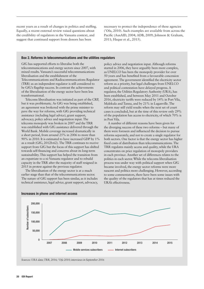recent years as a result of changes in politics and staffing. Equally, a recent external review raised questions about the credibility of regulators in the Vanuatu context, and suggest that continued support from donors has been

necessary to protect the independence of these agencies ('Ofa, 2010). Such examples are available from across the Pacific (AusAID, 2004; ADB, 2009; Johnson & Graham, 2011; Haque et al., 2015).

#### Box 2. Reforms in telecommunications and the utilities regulators

GfG has supported efforts to liberalise both the telecommunications and energy sectors since 2007, with mixed results. Vanuatu's successful telecommunications liberalisation and the establishment of the Telecommunications and Radiocommunications Regulator (TRR) as an independent regulator is still considered to be GfG's flagship success. In contrast the achievements of the liberalisation of the energy sector have been less transformational.

Telecoms liberalisation was initiated as part of the CRP, but it was problematic. As GfG was being established, an agreement was brokered with the prime minister to pave the way for reforms, with GfG providing technical assistance (including legal advice), grant support, advocacy, policy advice and negotiation input. The telecoms monopoly was broken in 2007 and the TRR was established with GfG assistance delivered through the World Bank. Mobile coverage increased dramatically in a short period, from around 25% in 2006 to more than 90% in 2010. It is estimated to have increased GDP by 1% as a result (GfG, 2012b:62). The TRR continues to receive support from GfG but the focus of this support has shifted towards self-financing and concerns about its long-term sustainability. This support has helped the transition from an expatriate to a ni-Vanuatu regulator and to rebuild capacity in the TRR after the majority of staff resigned in 2015 in protest against the previous regulator.

The liberalisation of the energy sector is at a much earlier stage than that of the telecommunications sector. The nature of GfG support has been similar, as it includes technical assistance, legal advice, grant support, advocacy, policy advice and negotiation input. Although reforms started in 2006, they have arguably been more complex, as UNELCO has been the monopoly provider for over 50 years and has benefited from a favourable concession agreement. The government identified the electricity sector reform as a priority, but legal challenges from UNELCO and political contestation have delayed progress. A regulator, the Utilities Regulatory Authority (URA), has been established, and between May 2011 and October 2016, electricity tariffs were reduced by 14% in Port Vila, Malekula and Tanna, and by 21% in Luganville. The reform may still yield results when the next set of court cases is concluded, but at the time of this review only 29% of the population has access to electricity, of which 70% is in Port Vila.

A number of different reasons have been given for the diverging success of these two reforms – but many of them were foreseen and influenced the decision to pursue reforms separately, and not to create a single regulator for both sectors. One factor is that the energy sector has higher fixed costs of distribution than telecommunications. The TRR regulates mainly access and quality, while the URA concentrates on price regulation of monopoly providers in each province. Another set of differences relates to the politics in each sector. While the telecoms liberalisation process was under way with political support when GfG became involved, the energy sector reforms were more nascent and politics more challenging. However, according to some commentators, there have been some issues with the quality of the regulators that has at times reduced the URA's effectiveness.



Increases in phone and internet access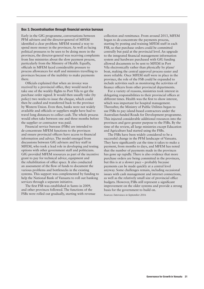#### Box 3. Decentralisation through financial service bureaus

Early in the GfG programme, conversations between PFM advisers and the director-general of MFEM identified a clear problem: MFEM wanted a way to spend more money in the provinces. As well as facing political pressures to be seen to be doing more in the provinces, the director-general was receiving complaints from line ministries about the slow payment process, particularly from the Ministry of Health. Equally, officials in MFEM faced considerable pressure to process allowances for staff and ministers travelling to provinces because of the inability to make payments there.

Officials explained that when an invoice was received by a provincial office, they would need to take one of the weekly flights to Port Vila to get the purchase order signed. It would then usually take (by policy) two weeks to issue the cheque, which could then be cashed and transferred back to the province by Western Union. Even then, banks were not widely available and officials or suppliers might have had to travel long distances to collect cash. The whole process would often take between one and three months before the supplier or contractor was paid.

Financial service bureaus (FSBs) are intended to de-concentrate MFEM functions to the provinces and ensure provincial officers have access to financial information and advice. The model emerged from discussions between GfG advisers and key staff in MFEM, who took a lead role in developing and testing options with other government staff and politicians. GfG provided MFEM resources as part of the incentive grant to pay for technical advice, equipment and the rehabilitation of office space. It also conducted an assessment of the flow of funds to document the various problems and bottlenecks in the existing systems. This support was complemented by funding to help the National Bank of Vanuatu to roll out banking services through a separate initiative.

The first FSB was established in Santo in 2009, and other provinces followed. The functions of the FSBs were rolled out gradually, starting with revenue collection and remittance. From around 2013, MFEM began to de-concentrate the payments process, starting by posting and training MFEM staff in each FSB, so that purchase orders could be committed centrally but paid at the provincial level. An upgrade to the integrated financial management information system and hardware purchased with GfG funding allowed documents to be sent to MFEM in Port Vila electronically rather than physically by plane/ boat, making the central approval process easier and more reliable. Once MFEM staff were in place in the province, the role of the FSB could be expanded to include activities such as monitoring the activities of finance officers from other provincial departments.

For a variety of reasons, ministries took interest in delegating responsibilities to their provincial offices at different times. Health was the first to show interest, which was important for hospital management. Thereafter, the Ministry of Public Utilities began to use FSBs to pay island-based contractors under the Australian-funded Roads for Development programme. This injected considerable additional resources into the provinces and gave greater purpose to the FSBs. By the time of the review, all large ministries except Education and Agriculture had started using the FSBs.

The FSBs have been widely considered to be a successful change in the PFM landscape of Vanuatu. They have significantly cut the time it takes to make a payment, from months to days, and MFEM has noted that the number of payments made in the provinces has gone up rapidly. There is also evidence that more purchase orders are being committed in the provinces, but this is at a slower pace – probably because payments can be made quickly at a central level anyway. Some challenges remain, including occasional issues with cash management and internet connections, as well as the relatively small size of provincial office budgets. However, FSBs still represent a significant improvement on the older systems and provide a strong basis for the government to build on.

*Sources: Interviews in September 2016*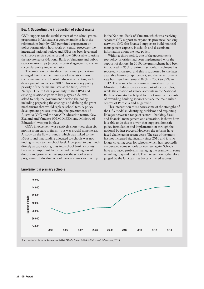#### Box 4. Supporting the introduction of school grants

GfG's support for the establishment of the school grants programme in Vanuatu is a good example of how the relationships built by GfG permitted engagement on policy formulation; how work on central processes (the integrated national budget and FSBs) has been leveraged to improve service delivery; and how GfG is able to utilise the private sector (National Bank of Vanuatu) and public sector relationships (especially central agencies) to ensure successful policy implementation.

The ambition to introduce free primary education emerged from the then minister of education (now the prime minister) Charlot Salwai at a meeting with development partners in 2009. This was a key policy priority of the prime minister at the time, Edward Natapei. Due to GfG's proximity to the OPM and existing relationships with key players, GfG was asked to help the government develop the policy, including preparing the costings and defining the grant mechanisms that would replace school fees. A policy development process involving the governments of Australia (GfG and the AusAID education team), New Zealand and Vanuatu (OPM, MFEM and Ministry of Education) was put in place.

GfG's involvement was relatively short – less than six months from start to finish – but was crucial nonetheless. A study on the flow of funds (which was linked to the FSBs) found that funding allocated to schools was not finding its way to the school level. A proposal to pay funds directly as capitation grants into school bank accounts became an important factor behind the willingness of donors and government to support the school grants programme. Individual school bank accounts were set up

in the National Bank of Vanuatu, which was receiving separate GfG support to expand its provincial banking network. GfG also financed support to build financial management capacity in schools and disseminate information about the new policy.

Within a short period, one of the government's top policy priorities had been implemented with the support of donors. In 2010, the grant scheme had been introduced in 95% of primary schools. Enrolment has reportedly increased, and this is supported by the latest available figures (graph below), and the net enrolment rate has risen from around 82% in 2008 to 87% in 2012. The grant scheme is now administered by the Ministry of Education as a core part of its portfolio, while the creation of school accounts in the National Bank of Vanuatu has helped to offset some of the costs of extending banking services outside the main urban centres of Port Vila and Luganville.

This intervention thus shows some of the strengths of the GfG model in identifying problems and exploiting linkages between a range of sectors – banking, fiscal and financial management and education. It shows how it is able to do this in a way that supports domestic policy formulation and implementation through the national budget process. However, the reforms have faced challenges in recent years. The size of the grant has not increased significantly since 2010 and it is no longer covering costs for schools, which has reportedly encouraged some schools to levy fees again. Schools have also faced problems managing the grant, with some unwilling to spend it at all. The intervention is, therefore, judged by the GfG team as being of mixed success.



#### Enrolement in primary schools

*Sources: Interviews in September 2016; World Bank, 2016; Ministry of Education, 2014*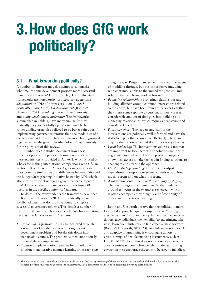# 3.How does GfG work politically?

# 3.1. What is working politically?

A number of different models attempt to summarise what makes some development projects more successful than others (Algoso & Hudson, 2016). Four influential frameworks are noteworthy: *problem-driven iterative adaptation* or PDIA (Andrews et al., 2012, 2015); *politically smart, locally led development* (Booth & Unsworth, 2014); *thinking and working politically*; and *doing development differently*. The frameworks, summarised in Table 3, have many similar features. Critically they are not fully operational models, but rather guiding principles believed to be better suited for implementing governance reforms than the modalities of a conventional aid project. These various models are grouped together under the general heading of *working politically*  for the purposes of this review.

A number of case studies document how these principles play out in practice. A summary of some of these experiences is provided in Annex 2, which is used as a basis for making international comparisons with GfG in Section 3.8 of the report. Annex 3 goes into greater depth to explore the similarities and differences between GfG and the Budget Strengthening Initiative hosted by ODI, which also aims to work closely with governments to improve PFM. However, the main analysis considers how GfG operates in the specific context of Vanuatu.

To do this, the review adapts the framework developed by Booth and Unsworth (2014) for politically smart, locally led ways that donors have found to support successful governance reforms. This details a number of features that can be applied as a benchmark for evaluating the way that GfG operates in Vanuatu:

- **•** *Problem identification:* Results are achieved through a way of working that starts with a significant development problem and breaks this down into manageable chunks. The problem is then continuously revisited during implementation.
- **•** *Iteration*: Implementation searches for a workable solution in an iterative manner, learning from each step

along the way. Project management involves an element of muddling through, but this is purposive muddling, with continuous links to the immediate problem and solution that are being worked towards.

- **•** *Brokering relationships*: Brokering relationships and building alliances around common interests are related to the above, but have been found to be so critical that they merit some separate discussion. In most cases a considerable amount of time goes into building and managing relationships, which requires persistence and considerable skill.
- **•** *Politically smart:* The leaders and staff of the interventions are politically well informed and have the skills to deploy that knowledge effectively. They can acquire their knowledge and skills in a variety of ways.
- **•** *Local leadership:* The interventions address issues that are important to local actors. The solutions are locally negotiated and delivered because project managers allow local actors to take the lead in finding solutions to challenges and steering the approach.<sup>12</sup>
- **•** *Flexible, strategic funding:* The ability to adjust expenditure in response to strategic needs – both how much is spent and on what it is spent.
- **•** *A long-term commitment, with continuity of staffing:* There is a long-term commitment by the funder – around ten years in the examples reviewed – which is often accompanied by a high level of continuity of donor and project-level staffing.

Booth and Unsworth observe that the politically smart, locally led approach requires a supportive *authorising environment* in the donor agency. In the cases they reviewed, donors gave individuals the flexibility 'to experiment, take risks, learn from mistakes and find effective ways forward' (Booth & Unsworth, 2014: 23). So while interest in flexible and adaptive programming is encouraging donors to create a range of flexible financing instruments, such as DFID's SMART tools, this does not necessarily change the core incentives without a broader shift in the authorising environment to encourage the tools to be used to full effect

<sup>12.</sup> This may refer to local leadership at various levels, such as the strategic steering of the intervention, the leadership of the individual projects or the leadership of reform areas by government counterparts. Local leadership needs to be underpinned by strong relationships.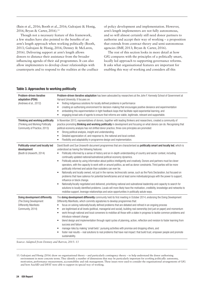(Bain et al., 2016; Booth et al., 2016; Gulrajani & Honig, 2016; Bryan & Carter, 2016).13

Though not a necessary feature of this framework, a few studies have also pointed to the benefits of an arm's length approach when working politically (Booth, 2013; Gulrajani & Honig, 2016; Denney & McLaren, 2016). Delivering support at arm's length allows donors to distance their assistance from the broader influencing agenda of their aid programmes. It can also allow implementers to develop closer relationships with counterparts and to respond to the realities at the coalface of policy development and implementation. However, arm's length implementers are not fully autonomous, and so will almost certainly still need donor partners to authorise and accept their way of working – a proposition that extends from contract theory and semi-autonomous agencies (IMF, 2013; Bryan & Carter, 2016).

The rest of this section looks in more detail at how GfG compares with the principles of a politically smart, locally led approach to supporting governance reforms. It asks what organisational features are important for enabling this way of working and considers all this

| Problem-driven iterative<br>adaptation (PDIA)<br>(Andrews et al., 2012)                               | Problem-driven iterative adaptation has been advocated by researchers at the John F. Kennedy School of Government at<br>Harvard University. It focuses on:<br>finding indigenous solutions for locally defined problems in performance<br>$\bullet$<br>creating an authorising environment for decision-making that encourages positive deviance and experimentation<br>$\bullet$<br>embedding this experimentation in tight feedback loops that facilitate rapid experiential learning, and<br>$\bullet$<br>engaging broad sets of agents to ensure that reforms are viable, legitimate, relevant and supportable.<br>$\bullet$                                                                                                                                                                                                                                                                                                                                                                                                                                                                                                                                                                                                                                                                                                                                                        |
|-------------------------------------------------------------------------------------------------------|-----------------------------------------------------------------------------------------------------------------------------------------------------------------------------------------------------------------------------------------------------------------------------------------------------------------------------------------------------------------------------------------------------------------------------------------------------------------------------------------------------------------------------------------------------------------------------------------------------------------------------------------------------------------------------------------------------------------------------------------------------------------------------------------------------------------------------------------------------------------------------------------------------------------------------------------------------------------------------------------------------------------------------------------------------------------------------------------------------------------------------------------------------------------------------------------------------------------------------------------------------------------------------------------------------------------------------------------------------------------------------------------|
| Thinking and working politically<br>(Thinking and Working Politically<br>Community of Practice, 2013) | In November 2013, representatives of donors, together with leading thinkers and researchers, created a community of<br>practice promoting thinking and working politically in development and focusing on what donors can do. Recognising that<br>political economy analysis has not shifted donor practice, three core principles are promoted:<br>Strong political analysis, insight and understanding.<br>$\bullet$<br>Detailed appreciation of, and response to, the national and local context.<br>$\bullet$<br>Flexibility and adaptability in programme design and implementation.<br>$\bullet$                                                                                                                                                                                                                                                                                                                                                                                                                                                                                                                                                                                                                                                                                                                                                                                  |
| Politically-smart and locally led<br>development<br>(Booth & Unsworth, 2014)                          | David Booth and Sue Unsworth document programmes that are characterised as <b>politically smart and locally led</b> , which is<br>understood as having the following features:<br>Politically informed by a sense of history and an in-depth understanding of country and sector context, including<br>$\bullet$<br>continually updated national/subnational political economy dynamics.<br>Politically astute by using information about politics intelligently and creatively. Donors and partners must be clever<br>$\bullet$<br>operators, with the capacity to work with or around politics, as well as donor constraints. Third parties will be more<br>politically informed and astute than outsiders can ever be.<br>Nationally and locally owned, not just in the narrow, technocratic sense, such as the Paris Declaration, but focused on<br>$\bullet$<br>problems that have salience for potential beneficiaries and at least some individuals/groups with the power to support,<br>influence or block change.<br>Nationally/locally negotiated and delivered, prioritising national and subnational leadership and capacity to search for<br>solutions to locally identified problems. Locals will more likely have the motivation, credibility, knowledge and networks to<br>mobilise support, leverage relationships and seize opportunities in politically astute ways. |
| Doing development differently<br>(The Doing Development<br>Differently Manifesto<br>Community, 2014)  | The <b>doing development differently</b> community held its first meeting in October 2014, endorsing the Doing Development<br>Differently Manifesto, which commits signatories to develop programmes that:<br>focus on solving nationally/locally defined problems that are debated and refined in an ongoing process<br>$\bullet$<br>are legitimised at all levels (political, managerial and social), building real ownership (not just on paper) and momentum<br>$\bullet$<br>work through national and local conveners to mobilise all those with a stake in progress to tackle common problems and<br>$\bullet$<br>introduce relevant change<br>blend design and implementation through rapid cycles of planning, action, reflection and revision to foster learning from<br>$\bullet$<br>success and failure<br>manage risks by making 'small bets': pursuing activities with promise and dropping others, and<br>foster real results - real solutions to real problems that have real impact: that build trust, empower people and promote<br>sustainability.                                                                                                                                                                                                                                                                                                                    |
| $\mathbf{r}$                                                                                          |                                                                                                                                                                                                                                                                                                                                                                                                                                                                                                                                                                                                                                                                                                                                                                                                                                                                                                                                                                                                                                                                                                                                                                                                                                                                                                                                                                                         |

#### Table 3. Approaches to working politically

*Source: Adapted from Denney and Barron, 2015: 13*

13. Gulrajani and Honig (2016) draw on organisational theory – and particularly contingency theory – to help understand the donor authorising environment in more concrete terms. They identify a number of dimensions that may be particularly important for *working politically*: autonomy, motivation, performance measurement, accountability and risk management. These issues were used to consider the organisational arrangements of GfG and how AusAID and DFAT were able to support its special way of working.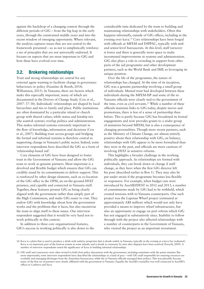against the backdrop of a changing context through the different periods of GfG – from the big leap in the early years, through the constrained middle years and into the recent window of emerging opportunity. Where relevant, the analysis captures issues that are not central to the framework presented – so as not to simplistically reinforce a set of principles that are not universally endorsed. It focuses on aspects that are most important to GfG and how these have evolved over time.

# 3.2. Brokering relationships

Trust and strong relationships are central for any external agent wanting to facilitate change in governance behaviours or policy (Faustino & Booth, 2014; Williamson, 2015). In Vanuatu, there are factors which make this especially important, many of which are documented in the Drivers of Change Study (Cox et al., 2007: 37-38). Individuals' relationships are shaped by local hierarchies and ties to family and place. Public institutions are often dominated by a particular island or church group with shared values, while status and kinship ties (the *wantok* system) overlap politics and administration. This makes informal systems extremely important in the flow of knowledge, information and decisions (Cox et al., 2007). Building trust across groups and bridging the formal and informal systems is therefore central to supporting change in Vanuatu's public sector. Indeed, some interview respondents have described the GfG as a form of 'relationship-based aid'.

Core elements of GfG have been designed to foster trust in the Government of Vanuatu and allow the GfG team to work as genuine partners. Most important is a devolved and flexible budget which ensures that GfG can credibly stand by its commitments to deliver support. This is reinforced by other design elements, such as co-location of the GfG office in the OPM, an on-the-ground DFAT presence, and capable and connected ni-Vanuatu staff. Together, these features present GfG as being closely aligned with the government rather than simply part of the High Commission, and make GfG easier to visit. They endow GfG with knowledge about how the government works and the problems that it faces, but also incentivise the team to align itself to these issues. One interview respondent suggested that it would be very hard not to work politically in this context.

In addition to these core organisational features, GfG's success in working politically is also down to the considerable time dedicated by the team to building and maintaining relationships with stakeholders. Often this happens informally, outside of GfG offices, including in the evening over kava.14 Core relationships have been forged with officials at MFEM and DSPPAC, typically with midand senior-level bureaucrats. At this level, staff turnover is lower and there is generally more space to make incremental improvements in systems and administration. GfG also plays a role in crowding in support from other parts of the aid programme and other development partners, such as the World Bank and IMF, so leveraging its unique position.

Over the life of the programme, the nature of relationships has changed. At the time of its inception, GfG was a genuine partnership involving a small group of individuals. Mutual trust had developed between these individuals during the MFEM-ISP and some of the ni-Vanuatu officials were closely tied to the government of the time, even as civil servants.15 While a number of these officials maintain links to GfG today, despite moves and promotions, there is less of a sense of partnership than before. This is partly because GfG has broadened its formal engagements and now provides grants to a wider group of ministries beyond MFEM, but is also a consequence of changing personalities. Though more recent partners, such as the Ministry of Climate Change, are almost entirely positive about their relationship with GfG, on balance, relationships with GfG appear to be more formalised than they were in the past, and officials are more cautious of involving DFAT in sensitive reforms.

This highlights a broader challenge in the working politically approach. As relationships are formed with individuals, they can break down or change if staff change, as they have when the first GfG director left his post (described earlier in Box 1). They may also be put under strain if the programme becomes less flexible or responsive. For example, when budget cuts were introduced by AusAID/DFAT in 2012 and 2013, a number of commitments made by GfG had to be withheld, which created tensions with ni-Vanuatu counterparts. One such project was the Lapetasi Wharf project (estimated at approximately A\$8 million) which would not only have provided a means to improve wharf infrastructure, but also an opportunity to engage on port reform which GfG has not engaged in substantively since. Inability to follow through with the project also affected relationships with a number of counterparts in the Government of Vanuatu, who viewed the project as an important investment.

<sup>14.</sup> Kava is a plant that is used to produce a drink with sedative properties that is drunk widely in Vanuatu, typically in the evening at a kava bar (*nakamal*). Kava is an important part of the *kastom* system in some islands, and is drunk in ceremony by men after disputes have been resolved (Forsyth, 2009). A number of interview respondents noted the significance of kava in building informal relationships.

<sup>15.</sup> GfG staff and contractors were often invited to hold close policy discussions with the government, including sometimes with the prime minister. But more importantly, some interview respondents have described the relationships as a kind of pact – with GfG staff responsible for ensuring resources are available and managing blockages from the Australian bureaucracy, while the ni-Vanuatu officials managed their politics. This was plausible because many of the first set of partners were closely affiliated with the government in Vanuatu. Equally, the AusAID counsellor was well connected in AusAID's offices in Canberra and Suva.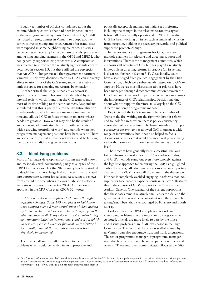Equally, a number of officials complained about the ex-ante fiduciary controls that had been imposed on top of the usual government systems. As noted earlier, AusAID instructed all programmes in Vanuatu to adopt ex-ante controls over spending and procurement after fraud cases were exposed in some neighbouring countries. This was perceived as unnecessary by ni-Vanuatu officials, particularly among long-standing partners in the OPM and MFEM, who had generally supported ex-post controls. A compromise was reached to introduce the relatively light ex-ante controls described in Section 2.3, but these still fed the perception that AusAID no longer trusted their government partners in Vanuatu. In this way, decisions made by DFAT can indirectly affect relationships of the GfG team, and either enable or limit the space for engaging on reforms by extension.

Another critical challenge is that GfG's networks appear to be shrinking. This issue was identified by an internal review, which found that the GfG team spends most of its time talking to the same contacts. Respondents speculated that this is partly due to the institutionalisation of relationships, which have become more mature over time and allowed GfG to focus attention on areas where needs are greatest. However, it may also be the result of an increasing administrative burden (partly associated with a growing portfolio of work) and periods where key programme management positions have been vacant. There are some concerns that a smaller network could be limiting the capacity of GfG to engage in new issues.

# 3.3. Identifying problems

Most of Vanuatu's development constraints are well known and reasonably well documented, partly as a legacy of the CRP. One interviewee felt that 'the country has been studied to death'; but this knowledge had not necessarily translated into appropriate support for reforms. According to reviews from around the time when GfG was established, reforms were strongly donor driven (Gay, 2004). Of the donor approach in the CRP, Cox et al. (2007: 32) wrote:

*Institutional reform was approached mainly through legislative changes. Some 180 new pieces of legislation were adopted over a 2-year period, most of them drafted by foreign technical advisers with limited buy-in from the administration itself. Many reforms involved introducing new functions based on international standards for which no resources, either human or financial, were identified. As a result, much of this legislation has never been effectively implemented.*

The main challenge for GfG has been to identify the problems which could be tackled in an appropriate and politically acceptable manner. An initial set of reforms, including the changes in the telecoms sector, was agreed before GfG became fully operational in 2007. Thereafter, GfG has been working on issues such as financial inclusion from inception, building the necessary networks and political support to promote change.

In the governance arrangements for GfG, there are multiple channels for selecting and directing support and interventions. There is the management committee, which authorises all activities of GfG but has played a relatively limited role in directing reforms in practice (an issue that is discussed further in Section 3.4). Occasionally, issues have also emerged from political engagement by the High Commission, which were subsequently passed on to GfG to support. However, most discussions about priorities have been managed through direct communication between the GfG team and its network of partners, which re-emphasises the importance of GfG's relationships. Decision-making about what to support, therefore, falls largely to the GfG director and senior programme manager.

Key tactics of the GfG team are to have a number of 'irons in the fire' waiting for the right window for reform, and to look for areas where there is policy consistency across the political spectrum. The broad mandate to support *governance for growth* has allowed GfG to pursue a wide range of interventions, but it has also helped to focus discussions on issues that would promote real policy change rather than simply institutional strengthening as an end in itself.

These tactics have generally been successful. The long list of reforms outlined in Section 2.6 is evidence of this, and GfG's methods stand out even more strongly against the legalistic approach taken during the CRP, as highlighted earlier. However, GfG does not always succeed in supporting change, as the VCMB case will show later in the discussion. Nor has it completely avoided engaging in reforms that lack support or face broader capacity constraints. Box 5 illustrates this in the context of GfG's support to the Office of the Auditor General. One strength of the current approach is that these cases remain relatively small costs to GfG and the government. In this way, it is consistent with the approach of taking 'small bets' that is encouraged by Faustino and Booth (2014).

Co-location in the OPM also plays a key role in identifying problems that are important to the government. As noted, officials are more likely to pass by the office and discuss problems than if GfG was based in the High Commission. The fact that the office is staffed mainly by ni-Vanuatu can also encourage trust and frank discussions. The senior programme manager or programme manager may also be able to approach counterparts more freely and openly.16 These improved communication flows allow GfG

<sup>16.</sup> One former staff member described how they were able to take off the AusAID hat and discuss policy issues with the prime minister and critical partners as a ni-Vanuatu citizen. Another respondent explained that it was necessary to have ni-Vanuatu staff in order for GfG to understand how reforms are truly progressing – 'if you want to do it properly, then you send them in'.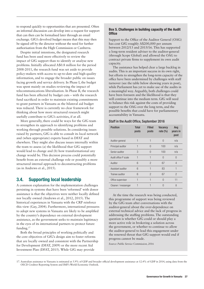to respond quickly to opportunities that are presented. Often an informal discussion can develop into a request for support that can then can be formalised later through an email exchange. GfG's devolved budget means that this may then be signed off by the director without the need for further authorisation from the High Commission or Canberra.

Despite initial intentions, the designated research fund has been used more effectively to review the impact of GfG support than to identify or analyse new problems. Initially allocated A\$0.8 million for the period 2008-2011, the research fund was set aside to provide policy-makers with access to up-to-date and high-quality information, and to engage the broader public on issues facing growth and service delivery. In Phase I, the budget was spent mainly on studies reviewing the impact of telecommunications liberalisation. In Phase II, the research fund has been affected by budget cuts – with the research fund sacrificed in order to maintain existing commitments to grant partners in Vanuatu as the bilateral aid budget was reduced. There is currently no clear framework for thinking about how more structured research might usefully contribute to GfG's activities, if at all.

More generally, there could be ways for the GfG team to strengthen its approach to identifying problems and working through possible solutions. In considering issues raised by partners, GfG is able to consult its local network and (when appropriate) experts based in DFAT and elsewhere. They might also discuss issues internally within the team to assess (a) the likelihood that GfG support would lead to change and (b) how transformational any change would be. This decision process could potentially benefit from an external challenge role or possibly a more structured internal approach to deconstructing problems (as in Andrews et al., 2015).

# 3.4. Supporting local leadership

A common explanation for the implementation challenges persisting in systems that have been 'reformed' with donor assistance is that the objectives were neither locally defined nor locally owned (Andrews et al., 2012, 2015). The historical experiences in Vanuatu with the CRP reinforce this view (Gay, 2004). Furthermore, international pressures to adopt new systems in Vanuatu are likely to be amplified by the country's dependence on external development assistance, as the government seeks to maintain legitimacy in the eyes of its international partners to protect future funding.17

Both the broad principles of working politically and the core objectives of GfG's design aim to foster reforms that are locally owned and consistent with the Partnership for Development (DFAT, 2009) or the more recent Aid Investment Plan (DFAT, 2015). While GfG may provide

#### Box 5. Challenges in building capacity of the Audit **Office**

Support to the Office of the Auditor General (OAG) has cost GfG roughly A\$200,000 per annum between 2012/13 and 2015/16. This has supported a long-term resident adviser to the auditor-general (through Scope Global) and allowed the OAG to contract private firms to supplement its own audit capacity.

The assistance has helped clear a large backlog in audits. This is an important success in its own right, but efforts to strengthen the long-term capacity of the office have been undermined by challenges with staff turnover (see the table below showing years in post), while Parliament has yet to make use of the audits in a meaningful way. Arguably, both challenges could have been foreseen and the likelihood is that they will continue into the medium term. GfG will need to balance this risk against the costs of providing support to the OAG over the long term, and the possible benefits that could have for parliamentary accountability in Vanuatu.

#### Staff in the Audit Office, September 2016

| <b>Position</b>      | <b>Total</b><br>posts | <b>Filled</b><br>posts | <b>Vacancy</b><br>rate $(\%)$ | Avg<br>years in<br>post |
|----------------------|-----------------------|------------------------|-------------------------------|-------------------------|
| Auditor-general      |                       | 1                      | $\Omega$                      | n/a                     |
| Principal auditor    |                       | $\Box$                 | 100                           | n/a                     |
| Senior auditor       | 3                     | $\cup$                 | 100                           | n/a                     |
| Audit office P scale | 1                     |                        | $\bigcap$                     | $\cap$                  |
| Auditor              | 6                     | $\mathfrak{p}$         | 67                            | 4                       |
| Assistant auditor    | 6                     | 1                      | 83                            |                         |
| Trainee auditor      | 6                     | $\overline{2}$         | 67                            | $\mathcal{P}$           |
| Office supervisor    | 1                     | 1                      | $\bigcap$                     | 11                      |
| Cleaner / messenger  |                       |                        | $\Box$                        | 8                       |

At the time the research was being conducted, this programme of support was being reviewed by the GfG team after conversations with the auditor-general about the over-dependence on external technical advice and the lack of progress in addressing the staffing problems. The outstanding question is whether GfG could or should play a more active role in brokering a solution across the government, or whether to continue to allow the auditor-general to lead this engagement under the renewed threat that GfG support would end if progress cannot be made.

*Source: Public Service Commission, 2016*

<sup>17.</sup> Australian assistance to Vanuatu is estimated at 5.9% of GDP and broader official development assistance at 12.4% of GDP in 2014, using data from the OECD Creditor Reporting System and IMF's World Economic Outlook.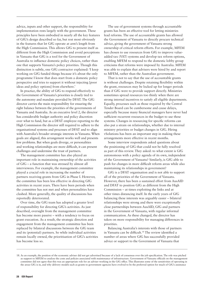advice, inputs and other support, the responsibility for implementation rests largely with the government. These principles have been embodied in nearly all the key features of GfG's design described so far, but rest most obviously in the features that let GfG operate at arm's length from the High Commission. This allows GfG to present itself as different from the High Commission and avoid perceptions in Vanuatu that GfG is a tool for the Government of Australia to influence domestic policy choices, rather than one that supports Vanuatu's policy priorities. Though this distinction is subtle, one GfG contractor explained: 'I keep working on GfG funded things because it's about the only programme I know that does start from a domestic policy perspective and tries to support it without injecting [poor ideas and policy options] from elsewhere.'

In practice, the ability of GfG to respond effectively to the Government of Vanuatu's priorities is closely tied to the autonomy and mandate provided by DFAT. The GfG director carries the main responsibility for ensuring the right balance between the priorities of the governments of Vanuatu and Australia. As an executive level 2, the director has considerable budget authority and policy discretion over what to fund, but as a DFAT employee reporting to the High Commission the director still required to adhere to the organisational systems and processes of DFAT and to align with Australia's broader strategic interests in Vanuatu. When goals are aligned, this arrangement works well and presents few problems. But when goals diverge, or personalities and working relationships are more difficult, it can present challenges and undermine the trust of partners.

The management committee has also played an important role in maintaining ownership of the activities of GfG – a function that was stressed by almost all interviewees. For example, the management committee played a crucial role in increasing the number of partners receiving grants from GfG in Phase I. However, the committee has been less effective in directing GfG activities in recent years. There have been periods when the committee has not met and when personalities have clashed. More generally, the quality of discussions has reportedly deteriorated.

Over time, the GfG team has adopted a greater level of responsibility for directing GfG's activities. As just described, oversight from the management committee has become more passive – with a tendency to focus on grant execution. As a result, the strategic direction and engagement from the management committee has been replaced by bilateral discussions between the GfG team and its (potential) partners. So while individual activities remain locally owned, the prioritisation of GfG's activities has become less so.

The use of government systems through accountable grants has been an effective tool for letting ministries lead reforms. The use of accountable grants has allowed the Government of Vanuatu to directly procure technical advice, giving the government of Vanuatu strong ownership of critical reform efforts. For example, MFEM has chosen to use resources from GfG to improve valueadded tax (VAT) systems and develop tax reform options, enabling MFEM to respond to the domestic lobby group criticisms that reforms were imposed by Australia. MFEM was able to explain that advisers were hired by and report to MFEM, rather than the Australian government.

That is not to say that the use of accountable grants is without challenges. Despite retaining flexibility within the grant, resources may be locked up for longer periods than if GfG were to provide support directly. Ministries sometimes spread resources too thinly when there are strong internal incentives to satisfy all eligible departments. Equally, processes such as those required by the Central Tender Board can be cumbersome and cause delays, especially because many financial managers have never had sufficient recurrent resources in the budget to use these systems. Changes in resourcing for specific reforms can also put a strain on relationships, whether due to internal ministry priorities or budget changes in GfG. Hiring vSolutions has been an important step in making these arrangements more effective in recent months.

Some interview respondents asked questions about the positioning of GfG that could not be fully resolved as part of this review. They asked: to what extent is GfG autonomous with a policy agenda of its own, independent of the Government of Vanuatu? Similarly, is GfG able to push for changes in more difficult reform areas while also maintaining its relationships in government?

GfG is a DFAT organisation and is not able to support all of the priorities of the Government of Vanuatu. However, there has been a sustained effort from AusAID and DFAT to position GfG as different from the High Commission – at times exploiting the links and at other times distancing itself. In the early years of GfG balancing these interests was arguably easier – bilateral relationships were strong and there were exceptionally close partnerships between AusAID, GfG and partners in the Government of Vanuatu, with regular informal communication. As these changed, the director has taken on more responsibility for managing differences in priorities.

Balancing Australia's interests with those of partners in Vanuatu can be difficult.18 The review identified a number of areas where GfG has successfully provided advice or support to the Government of Vanuatu that

<sup>18.</sup> As an example, the position of the economic adviser did not get advertised because of a lack of consensus over the job specification. The role was pitched as support to MFEM to analyse the costs and policies associated with maintenance of infrastructure. Government of Vanuatu officials on the management committee did not agree that this was an appropriate role for an adviser working in the GfG office. This illustrates some of the sensitivities of operating in the areas GfG is in, and why delivery models such as grants to government agencies have evolved to be the preferred option for much of GfG's assistance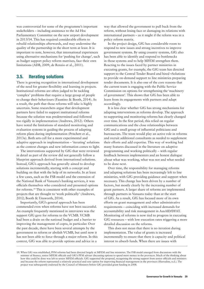was controversial for some of the programme's important stakeholders – including assistance to the Ad Hoc Parliamentary Committee on the new airport development in 2013/14. This has required considerable efforts to rebuild relationships afterwards, and may undermine the quality of the partnership in the short term at least. It is important to note, however, that international experiences using alternative mechanisms for 'pushing for change', such as budget support policy reform matrixes, face their own limitations (ADB, 2009; de Renzio et al., 2011).

# 3.5. Iterating solutions

There is growing recognition in international development of the need for greater flexibility and learning in projects. Institutional reforms are often judged to be tackling 'complex' problems that require a large group of people to change their behaviours (Faustino & Booth, 2014). As a result, the path that those reforms will take is highly uncertain. Some researchers argue that development partners have failed to support institutional reforms because the solution was predetermined and followed too rigidly in implementation (Andrews, 2012). Others have noted the limitations of standard monitoring and evaluation systems in guiding the process of adapting reform plans during implementation (Pritchett et al., 2013a). Both sets call for a more experimental and adaptive approach in implementation – 'iterating' solutions as the context changes and new information comes to light.

The interventions supported by GfG that were reviewed in detail as part of the review did not generally follow a blueprint approach derived from international solutions. Instead, GfG's approach has generally aimed to develop solutions incrementally, starting with a concept and building on that with the help of its networks. In at least a few cases, such as the FSB model and the extension of the National Bank of Vanuatu's banking services, it was officials themselves who considered and presented options for reforms.19 This is consistent with other examples of projects that are thought to 'work politically' (Andrews, 2012; Booth & Unsworth, 2014).

Importantly, GfG's general approach has been commended even when reforms have not been successful. An example frequently mentioned in interviews was the support GfG gave for reforms to the VCMB. VCMB had been a drain on the national budget and a barrier to improving the management of copra, in particular. Over the past decade, there have been several attempts by the government to reform or abolish VCMB, but until now it has not been able to force through a major reform. In this context, GfG was able to provide options and advice in a

way that allowed the government to pull back from the reform, without losing face or damaging its relations with international partners – as it might if the reform was in a policy reform matrix.

In the project design, GfG has considerable room to respond to new issues and strong incentives to improve government systems. By using country systems, GfG also has been able to identify and respond to bottlenecks in those systems and to help MFEM strengthen them. Reacting to the issues faced by partner ministries in executing grants, for example, the GfG team has directed support to the Central Tender Board and hired vSolutions to provide on-demand support to line ministries preparing tender documents. It is also one of the core reasons that the current team is engaging with the Public Service Commission on options for strengthening the 'machinery of government'. This shows that GfG has been able to learn from its engagements with partners and adapt accordingly.

It is less clear whether GfG has strong mechanisms for adapting interventions as reforms develop. The approach to supporting and monitoring reforms has clearly changed over time. In the first period, this relied on regular communications and the close relationships between GfG and a small group of influential politicians and bureaucrats. The team would play an active role in reforms and recruit additional consultants as needed to supplement their efforts and add expertise. This way of working had many features discussed in the literature on adaptive programming and working politically – with regular feedback between implementers and an honest dialogue about what was working, what was not and what needed to be done next.

Over time, the responsibility for managing reforms and adapting solutions has been increasingly left to line ministries, with GfG providing guidance and support when necessary. This change has been driven by a number of factors, but mostly clearly by the increasing number of grant partners. A larger share of reforms are implemented through partners in Vanuatu today than at the start of GfG. As a result, GfG has focused more of its own efforts on grant management and other administrative requirements – coinciding with increased demands for accountability and risk management in AusAID/DFAT. Monitoring of reforms is now tied to progress in executing GfG resources – with low execution rates triggering a more detailed discussion on the reforms.

This does not mean that there is no iteration during implementation. The value of grants is increased incrementally to ensure that there is capacity and political interest to absorb funds. When there are issues with

<sup>19.</sup> When GfG was established, PFM reforms had been directed largely at MFEM and line ministries. The FSB model emerged from discussions with the minister of finance, senior MFEM officials and GfG's PFM adviser discussing options to spend more money in the provinces. Much of the thinking about how this could be done was left to senior MFEM officials. GfG supported the proposal, recognising the strong support from senior officials and ministers and because the reform represented a relatively practical and easy option for improving financial management in the provinces (Harradine, n.d.). The project was subsequently endorsed by the Council of Ministers before GfG provided grant funding in 2008.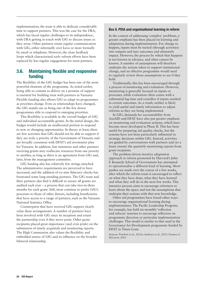implementation, the team is able to dedicate considerable time to support partners. This was the case for the URA, which has faced regular challenges to its independence, with URA getting in touch with GfG to discuss issues as they arose. Other partners retain regular communication with GfG, either informally over kava or more formally by email or telephone. However, the close feedback loops which characterised early reform efforts have been replaced by less regular engagement for most partners.

# 3.6. Maintaining flexible and responsive funding

The flexibility of the GfG budget has been one of the most powerful elements of the programme. As noted earlier, being able to commit to deliver on a promise of support is essential for building trust with partners in Vanuatu. Flexible funding also allows GfG to adapt its programmes as priorities change. Even as relationships have changed, the GfG stands out as being one of the few donor programmes able to respond to emerging priorities.

This flexibility is available in the overall budget of GfG and individual accountable grants. In the initial design, the budget would include an unallocated portion to respond to new or changing opportunities. In theory at least, there are few activities that GfG should not be able to support if they are truly a priority of the Government of Vanuatu and are broadly consistent with DFAT's aid investment plan for Vanuatu. In addition, line ministries and other partners receiving grants may reallocate resources from one priority to another, as long as there is an agreement from GfG and, later, from the management committee.

GfG funding also has relatively few strings attached. The administrative requirements are perceived to have increased, and the addition of ex-ante fiduciary checks has frustrated some long-standing partners. The GfG team and their partners also find it difficult to ensure all grants are audited each year – a process that can take two-to-three months for each grant. Still, most continue to prefer GfG's processes to those of other donors, including beneficiaries that have access to a range of partners, such as the Vanuatu National Statistics Office.

Counterparts that have received GfG support clearly value these arrangements. A number of partners have been involved with GfG since its inception and retain the partnership even if they move posts. Other grant recipients placed great importance (and even pride) on the submission of timely acquittals and monitoring reports. The High Commission also values the flexibility and embedded nature of GfG and its influence on the broader bilateral relationship.

## Box 6. PDIA and organisational learning in reform

In the context of addressing 'complex' problems, a greater emphasis has been placed on learning and adaptation during implementation. For change to happen, inputs must be turned (through activities) into outputs and into outcomes and ultimately impact. However, the process by which that happens is not known in advance, and often cannot be known. A number of assumptions will therefore underpin the actions taken to support institutional change, and an effective programme would need to regularly review those assumptions to see if they hold.

Traditionally, this has been encouraged through a process of monitoring and evaluation. However, monitoring is generally focused on inputs or processes, while evaluation often comes with a substantial lag time and considers if inputs resulted in certain outcomes. As a result, neither is likely to yield useful and timely information to adjust reforms as they are being implemented.

In GfG, demands for accountability from AusAID and DFAT have also put greater emphasis on monitoring and evaluation systems, which have become more developed in Phase II. This has been useful for preparing aid quality checks, but the systems have not been particularly influential in strategic decisions within GfG. Instead, activities are guided by conversations with partners and (to a lesser extent) the quarterly monitoring reports from grant recipients.

The problem-driven iterative adaptation approach to reform promoted by Harvard's John F. Kennedy School of Government has attempted to operationalise a different kind of learning. Short pushes are made over the course of a few weeks, after which the reform team is encouraged to reflect on what they have done, what they have learned and what they will do in the next few weeks. This intensive process aims to encourage reformers to learn about the space and test the assumptions that underpin their actions with that new knowledge.

Other aid programmes have found other ways to encourage organisational learning during implementation. The Pacific Leadership Program, for example, has held six-monthly 'reflection and refocus' sessions to encourage reflection on programme direction or particular implementation challenges. This model is similar to that used in the Governance for Development programme funded by DFAT in Timor-Leste.

*Sources: Pritchett et al., 2013a; Andrews et al., 2015; Denney & McLaren, 2016*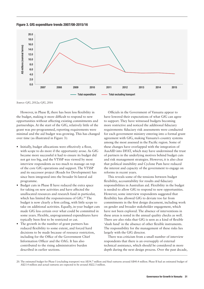



*Source: GfG, 2012a; GfG, 2016*

However, in Phase II, there has been less flexibility in the budget, making it more difficult to respond to new opportunities without affecting existing commitments and partnerships. At the start of the GfG, relatively little of the grant was pre-programmed, reporting requirements were minimal and the aid budget was growing. This has changed over time (as illustrated in Figure 3):

- **•** Initially, budget allocations were effectively a floor, with scope to do more if the opportunity arose. As GfG became more successful it had to ensure its budget did not get too big, and the VTSSP was viewed by most interview respondents as too much to manage on top of the core GfG operations and support. The VTSSP and its successor project (Roads for Development) has since been integrated into the broader bi-lateral aid programme.
- **•** Budget cuts in Phase II have reduced the extra space for taking on new activities and have affected the unallocated resources and research fund in particular, which has limited the responsiveness of GfG.<sup>20</sup> The budget is now clearly a firm ceiling, with little scope to take on additional activities. Equally, in-year budget cuts made GfG less certain over what could be committed in some years. Flexible, unprogrammed expenditures have typically been first to be restricted or cut.
- **•** The growth in the number of grant partners has reduced flexibility to some extent, and forced hard decisions to be made because of resource restriction, including for the Office of the Government Chief Information Officer and the OAG. It has also contributed to the rising administrative burden described in earlier sections.

Officials in the Government of Vanuatu appear to have lowered their expectations of what GfG can agree to support. They have witnessed budgets becoming more restrictive and noticed the additional fiduciary requirements: fiduciary risk assessments were conducted for each government ministry entering into a formal grant agreement with GfG, making Vanuatu's country systems among the most assessed in the Pacific region. Some of these changes have overlapped with the integration of AusAID into DFAT, which may have undermined the trust of partners in the underlying motives behind budget cuts and risk management strategies. However, it is also clear that political instability and Cyclone Pam have reduced the interest and capacity of the government to engage on reforms in recent years.

This reveals some of the tensions between budget flexibility, accountability for results and fiduciary responsibilities in Australian aid. Flexibility in the budget is needed to allow GfG to respond to new opportunities. However, some interview respondents suggested that flexibility has allowed GfG to deviate too far from commitments in the first design document, including work on gender and broader stakeholder engagement, which have not been explored. The absence of interventions in these areas is noted in the annual quality checks as well. There are also risks that GfG is seen as a kind of flexible 'slush fund' in the absence of other flexible instruments. The responsibility for the management of these risks lies largely with the GfG director.

There was criticism from a small number of interview respondents that there is an oversupply of external technical assistance, which should be considered in more depth during the next design process. Over the past decade,

<sup>20.</sup> The estimated budget for Phase I (excluding transport) was A\$34.7 million and final outturns around A\$40.4 million. Phase II had an estimated budget of A\$23.4 million and actual outturns are expected to be around A\$22.3 million.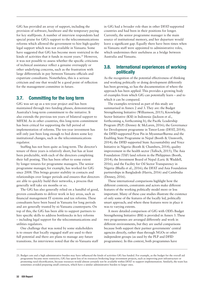GfG has provided an array of support, including the provision of software, hardware and the temporary paying for key staff/posts. A number of interview respondents had special praise for GfG's support to the telecommunications reforms which allowed the government to hire high-quality legal support which was not available in Vanuatu. Some have suggested that GfG has become more restricted in the kinds of activities that it funds in recent years.<sup>21</sup> However, it was not possible to assess whether the specific criticisms of technical assistance reflect a genuine oversupply or other underlying concerns, such as the frustration with large differentials in pay between Vanuatu officials and expatriate consultants. Nonetheless, this is a serious criticism and one that would be a good point of reflection for the management committee in future.

# 3.7. Committing for the long term

GfG was set up as a ten-year project and has been maintained through two funding phases, demonstrating Australia's long-term commitment to the initiative. It also extends the previous ten years of bilateral support to MFEM. As in other countries, this long-term commitment has been critical for supporting the full period of implementation of reforms. The ten-year investment has still only just been long enough to bed down some key institutional changes, such as the telecommunications regulator.

Staffing has not been quite as long-term. The director's tenure of three years is relatively short, but has at least been predictable, with each of the directors completing their full posting. This has been offset to some extent by longer tenures for programme managers. The senior programme manager, for example, has worked for GfG since 2008. This brings greater stability in contacts and relationships over longer periods and ensures that directors are able to quickly build their networks, a process that generally will take six months or so.

The GfG has also generally relied on a handful of good, proven consultants to deliver work in key areas, such as financial management IT systems and tax reforms. These consultants have been based in Vanuatu for long periods and are generally trusted by ni-Vanuatu counterparts. On top of this, the GfG has been able to support partners to hire specific skills to address bottlenecks in key reforms – including legal support for the telecommunications and utilities regulators.

One challenge that was noted by some stakeholders is to ensure that locally engaged staff are used to their full potential and there are plans to manage any future transitions. An interviewee noted that the ni-Vanuatu staff in GfG had a broader role than in other DFAT-supported countries and had been in their positions for longer. Currently, the senior programme manager is the main source of institutional memory, and her departure would leave a significant gap. Equally there have been times when ni-Vanuatu staff were appointed to administrative roles, which undermines their usefulness as a bridge between Australia and Vanuatu.

# 3.8. International experiences of working politically

As the recognition of the potential effectiveness of thinking and working politically or doing development differently has been growing, so has the documentation of where the approach has been applied. This provides a growing body of examples from which GfG can potentially learn – and to which it can be compared.

The examples reviewed as part of this study are summarised in Annex 2 and 3. They are: the Budget Strengthening Initiative (Williamson, 2015); Knowledge Sector Initiative (KSI) in Indonesia (Jackson et al., forthcoming a, forthcoming b); the Pacific Leadership Program (PLP) (Denney & McLaren, 2016); the Governance for Development programme in Timor-Leste (DFAT, 2014); the DFID-supported Pyoe Pin in Myanmar/Burma and the Enabling State Programme in Nepal (Booth & Unsworth, 2014); the DFID supported State Accountability and Voice Initiative in Nigeria (Booth & Chambers, 2014); quality improvement in the health sector (Tulloch, 2015); The Asia Foundation (TAF) land reform in the Philippines (Booth, 2014); the Investment Board of Nepal (Laric & Waddell, 2016); and the Facility for Oil Sector Transparency in Nigeria (Bhalla et al., 2016); the DFAT and Asia Foundation partnerships in Bangladesh (Harris, 2016) and Cambodia (Denney, 2016).

These international comparisons highlight how the different contexts, constraints and actors make different features of the working politically model more or less important. Many of these case studies illustrate the existence of only some of the features of the locally led, politically smart approach; and where these features were in place it was to varying extents.

A more detailed comparison of GfG with ODI's Budget Strengthening Initiative (BSI) is provided in Annex 3. These two programmes are arranged differently and work in different environments, but they are useful comparisons because both support their partner governments' central agencies directly, rather than through NGOs or other independent groups (as used by the PLP and DFID programmes). In this context, both programmes have

<sup>21.</sup> Budget cuts and a high administrative burden may have influenced the kinds of activities GfG has funded. For example, as the budget for the overall aid programme became more restrictive, GfG has spent less of its resources brokering large investment projects, such as improving port infrastructure or promoting rural electrification, because resources would almost certainly not be available within DFAT to support implementation. Similarly, the team has sometimes avoided preparing small contracts, which have a similar administrative burden to larger ones.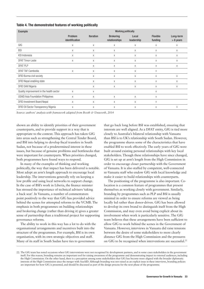| <b>Example</b>                           | <b>Working politically</b> |                  |                                   |                     |                            |                          |  |  |
|------------------------------------------|----------------------------|------------------|-----------------------------------|---------------------|----------------------------|--------------------------|--|--|
|                                          | Problem<br>identification  | <b>Iteration</b> | <b>Brokering</b><br>relationships | Local<br>leadership | <b>Flexible</b><br>funding | Long-term<br>$> 6$ years |  |  |
| GfG                                      | Χ                          | X                | X                                 | Χ                   | Χ                          | Χ                        |  |  |
| <b>BSI</b>                               | Χ                          | X                | Χ                                 | Χ                   | Χ                          | Χ                        |  |  |
| KSI Indonesia                            | X                          | X                | X                                 | X                   | X                          | X                        |  |  |
| <b>DFAT Timor-Leste</b>                  | Χ                          | Χ                | X                                 | Χ                   | Χ                          | Χ                        |  |  |
| DFAT PLP                                 |                            | X                | Χ                                 | X                   | X                          | X                        |  |  |
| <b>DFAT TAF Cambodia</b>                 | Χ                          | X                | Χ                                 | Χ                   | Χ                          |                          |  |  |
| DFID Burma civil society                 |                            | X                | Χ                                 | X                   | X                          | Χ                        |  |  |
| DFID Nepal enabling state                |                            | X                | X                                 | X                   | X                          | X                        |  |  |
| <b>DFID SAVI Nigeria</b>                 |                            | Χ                | Χ                                 | Χ                   | Χ                          | Χ                        |  |  |
| Quality improvement in the health sector | X                          | X                |                                   |                     | X                          |                          |  |  |
| <b>USAID Asia Foundation Philippines</b> | Χ                          | X                | X                                 | X                   | X                          |                          |  |  |
| <b>DFID Investment Board Nepal</b>       | Χ                          | X                | X                                 | X                   | Χ                          |                          |  |  |
| DFID Oil Sector Transparency Nigeria     | X                          | X                | X                                 | X                   | X                          | Χ                        |  |  |

Table 4. The demonstrated features of working politically

*Source: authors' analysis with framework adapted from Booth & Unsworth, 2014* 

shown an ability to identify priorities of their government counterparts, and to provide support in a way that is appropriate to the context. This approach has taken GfG into areas such as strengthening the Central Tender Board, and BSI into helping to develop fiscal transfers in South Sudan, not because of a predetermined interest in these issues, but because of genuine problems and bottlenecks that were important for counterparts. When priorities changed, both programmes have found ways to respond.

In many of the examples of thinking and working politically, the way that impact has been delivered is notable. Most adopt an arm's length approach to encourage local leadership. The interventions generally rely on keeping a low profile and using local networks to support change. In the case of BSI's work in Liberia, the finance minister has stressed the importance of technical advisers 'taking a back seat'. In Vanuatu, a number of commentators point positively to the way that GfG has provided advice behind the scenes for attempted reforms to the VCMB. The emphasis in both programmes on building relationships and brokering change (rather than driving it) gives a greater sense of partnership than a traditional project for supporting governance reforms.

The ability to work in this way has a lot to do with the organisational arrangements and incentives built into the structure of the programmes. For example, BSI is its own organisation, with its own strategic objectives and staff. Many of its staff in South Sudan have ties to government

that go back long before BSI was established, ensuring that interests are well aligned. As a DFAT entity, GfG is tied more closely to Australia's bilateral relationship with Vanuatu than BSI is to UK's relationship with South Sudan. However, the programme shares some of the characteristics that have enabled BSI to work effectively. The early years of GfG were built around existing personal relationships with key local stakeholders. Though these relationships have since changed, GfG is set up at arm's length from the High Commission in order to encourage closer partnership with the Government of Vanuatu. It is also staffed by competent, well-connected ni-Vanuatu staff who endow GfG with local knowledge and make it easier to build relationships with counterparts.

The positioning of the programme is also important. Colocation is a common feature of programmes that present themselves as working closely with government. Similarly, branding by programmes such as PLP and BSI is usually minimal in order to ensure reforms are viewed as being locally led rather than donor-driven. GfG has been allowed to develop its own brand to distinguish itself from the High Commission, and may even avoid being explicit about its involvement when work is particularly sensitive. The GfG team believes that these arrangements have been sufficient to allow GfG to work behind the scenes in the Government of Vanuatu. However, interviews in Vanuatu did raise tensions between the desire of some stakeholders to more clearly distance GfG from the High Commission and the pressures on GfG to be recognised when interventions are successful.<sup>22</sup>

<sup>22.</sup> The GfG team has noted occasions when GfG interventions were not recognised by development partners, and in some cases stakeholders in the government itself. For this reason, branding remains an important tool for raising awareness of the programme and demonstrating impact to external audiences, including the High Commission. On the other hand, there is a perception among some stakeholders that GfG has become more aligned with the broader diplomatic interests of the High Commission since the merger with AusAID. Although branding was not raised as an explicit issue in these interviews, branding policies are important for how GfG is presented, and should be discussed as part of the design process for the next phase of the programme.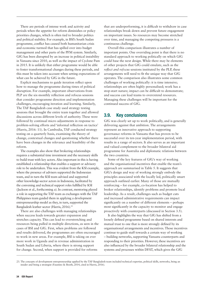There are periods of intense work and activity and periods when the appetite for reform diminishes or policy priorities changes, which is often tied to broader politics and political stability. For example, in BSI's South Sudan programme, conflict has caused both humanitarian crisis and economic turmoil that has spilled over into budget management and other parts of the PFM system. Similarly, GfG has been disrupted by an increase in political instability in Vanuatu since 2010, as well as the impact of Cyclone Pam in 2015. It is unlikely that either programme would be able to foster transformational changes during these periods, and this must be taken into account when setting expectations of what can be achieved by GfG in the future.

Explicit mechanisms to guide iteration reflect upon how to manage the programme during times of political disruption. For example, important observations from PLP are the six-monthly reflection and refocus sessions that consider programme direction and implementation challenges, encouraging iteration and learning. Similarly, The TAF Bangladesh case study used strategy testing sessions that brought the entire team together and allowed discussions across different levels of authority. These were followed by continual micro adjustments in response to problem-solving efforts and 'informal reflection on tactics' (Harris, 2016: 11). In Cambodia, TAF conducted strategy testing on a quarterly basis, examining the theory of change, contextual changes and questioning whether there have been changes in the relevance and feasibility of the reform.

The examples also show that brokering relationships requires a substantial time investment and the necessary skills to build trust with key actors. Also important in this is having established a relationship that enables a support or advisory role to be undertaken. This was evident from the KSI example, where the presence of advisers supported the Indonesian team, and in turn the KSI team advised and supported other knowledge-sector actors in Indonesia, facilitated by the convening and technical support roles fulfilled by KSI (Jackson et al., forthcoming a). In contrast, mentoring played a role in supporting the TAF team as exchanges with the TAF Philippines team guided them in applying a development entrepreneurship model as they, in turn, supported the Bangladesh leather sector (Harris, 2016).<sup>23</sup>

There are also challenges with managing relationships when success leads towards greater expansion and stretches capacity. This can lead to overstretching and resources being pulled in multiple directions, as seen in the cases of BSI and GfG. First, when problems are followed and results delivered, the programmes are often encouraged to work in new areas. For example, BSI is taking on ever more work in Uganda and in revenue administration in South Sudan and Liberia, where there is strong support for change. Second, when support is provided for reforms

that are underperforming, it is difficult to withdraw in case relationships break down and prevent future engagement on important issues. So resources may become stretched over time, and managing the competing pressures is a continuous challenge.

Overall this comparison illustrates a number of important points. One overriding point is that there is no standard approach to working politically on which GfG could base the next design. While there may be elements of other projects that GfG could emulate, such as the *reflect and refocus* sessions instituted by the PLP, these arrangements will need to fit the unique way that GfG operates. The comparison also illustrates some common challenges of working politically: it is time intensive; relationships are often highly personalised; work has a stop-start nature; impact can be difficult to demonstrate; and success can lead teams to overextend resources. Managing these challenges will be important for the continued success of GfG.

# 3.9. Key conclusions

GfG was clearly set up to work politically, and is generally delivering against that ambition. The arrangements represent an innovative approach to supporting governance reforms in Vanuatu that has proven to be successful over its ten-year implementation period, with results in a range of sectors. It also serves as an important and valued complement to the broader bilateral aid programme for Australia and diplomatic relations between the two countries.

Some of the key features of GfG's way of working and the organisational incentives that enable the team's approach are summarised in Table 5. It suggests that GfG's design and way of working strongly embody the principles associated with the locally led, politically smart approach outlined earlier. Many of those are mutually reinforcing – for example, co-location has helped to broker relationships, identify problems and promote local leadership. As a result, challenges such as budget cuts and increased administrative requirements can impact significantly on a number of different elements – perhaps most significantly in the capacity to monitor and engage proactively with counterparts (discussed in Section 3.5).

It also highlights the way that GfG has shifted from a loosely defined programme based on shared interests and mutual trust to one that is more strongly defined by its organisational arrangements and incentives. Those incentives continue to guide staff towards a certain way of working – building networks, supporting Vanuatu counterparts and responding to their priorities. However, these incentives are also influenced by the broader bilateral relationship and the systems and processes within DFAT, which gives the GfG

<sup>23.</sup> The concepts of development entrepreneurship applied by the TAF Bangladesh team included technical expertise, political skills, networks, being an insider and being a strategist (Faustino & Booth, 2014, cited in Harris, 2016).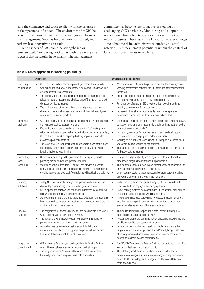team the confidence and space to align with the priorities of their partners in Vanuatu. The environment for GfG has become more conservative over time with greater focus on risk management. GfG has become more formalised, and perhaps less innovative as a result.

Some aspects of GfG could be strengthened or reinvigorated. Comparing GfG today with the early years suggests that networks have shrunk. The management

committee has become less proactive in steering or challenging GfG's activities. Monitoring and adaptation is also more closely tied to grant execution rather than reform progress. These issues are linked to broader changes – including the rising administrative burden and staff rotation – but they remain potentially within the control of GfG as it moves into its next phase.

#### Table 5. GfG's approach to working politically

| Approach                          |                                                                                                                                                                                                                                                                                                                                                                                                                                                                                                                                                                                     | <b>Organisational incentives</b>                                                                                                                                                                                                                                                                                                                                                                                                                                                                                                                                           |  |  |  |
|-----------------------------------|-------------------------------------------------------------------------------------------------------------------------------------------------------------------------------------------------------------------------------------------------------------------------------------------------------------------------------------------------------------------------------------------------------------------------------------------------------------------------------------------------------------------------------------------------------------------------------------|----------------------------------------------------------------------------------------------------------------------------------------------------------------------------------------------------------------------------------------------------------------------------------------------------------------------------------------------------------------------------------------------------------------------------------------------------------------------------------------------------------------------------------------------------------------------------|--|--|--|
| Brokering<br>relationships        | GfG is built around its relationships with government, and mainly<br>with senior and mid-level bureaucrats. It also crowds in support from<br>other donors where appropriate.<br>The team invests considerable time and effort into maintaining these<br>$\bullet$<br>relationships and most partners believe that GfG is more in tune with<br>domestic politics as a result.<br>The original sense of partnership and shared purpose has been<br>$\bullet$<br>diluted and the team has less time to network than in the early years<br>when successes were greatest.               | Most features of GfG, including co-location, aim to encourage close<br>working partnerships between the GfG team and their counterparts<br>in Vanuatu.<br>$\bullet$<br>Initial partnerships based on individuals and a shared vision built<br>through the MFEM-ISP and the GfG design process.<br>$\bullet$<br>For a number of reasons, GfG's relationships have changed and<br>possibly become more formalised over time.<br>Increased administrative requirements have limited space for<br>٠<br>networking and 'joining the dots' between stakeholders.                 |  |  |  |
| Identifying<br>problems           | GfG relies mainly on its counterparts to identify the key priorities and<br>$\bullet$<br>the right approach to addressing them.<br>Key tactics are to have a number of 'irons in the fire', waiting for a<br>$\bullet$<br>reform opportunity to open. When appetite for reform is more limited,<br>GfG continues to work on capacity-building or policies supported<br>across the political spectrum.<br>The focus of GfG is to support existing systems in a way that is 'good<br>enough now' and respond to new problems as they arise, while<br>keeping the bigger goal in mind. | Operating at arm's length from the High Commission encourages GfG<br>$\bullet$<br>to support local priorities, though this is balanced against the need to<br>demonstrate success to DFAT.<br>Focus on governance for growth gives a broad mandate to support<br>$\bullet$<br>reforms, while discouraging reform for reform sake.<br>Working on a number of areas allows GfG to report successes each<br>$\bullet$<br>year, even if some reforms do not progress.<br>The research fund has lacked purpose and has been an easy target<br>٠<br>for budget cuts as a result. |  |  |  |
| Supporting<br>local<br>leadership | Reforms are generally led by government counterparts, with GfG<br>$\bullet$<br>providing advice and other support as required.<br>Working at arm's length from DFAT, GfG can provide support to<br>$\bullet$<br>highly political reforms. This approach also allows the government to<br>consider advice and step back from reforms without losing credibility.                                                                                                                                                                                                                     | Delegated budget authority and a degree of autonomy from DFAT's<br>$\bullet$<br>broader aid programme reinforces the partnership.<br>The management committee gives a greater sense of ownership and<br>$\bullet$<br>provides important cover for GfG decisions.<br>Use of country systems though accountable grant agreements has<br>$\bullet$<br>allowed the government to lead implementation.                                                                                                                                                                          |  |  |  |
| Iterating<br>solutions            | Today, GfG works mainly through other partners who manage the<br>$\bullet$<br>day-to-day issues arising from policy changes and reforms.<br>GfG supports the iteration and adaptation in reforms by responding<br>$\bullet$<br>quickly and appropriately to emerging issues.<br>As the programme and grant partners have expanded, engagements<br>$\bullet$<br>have become less frequent for most partners, except where there are<br>significant issues to be addressed.                                                                                                           | Within the programme design and budget, GfG has considerable<br>٠<br>room to adapt and engage with emerging issues.<br>Use of country systems also encourages GfG to address problems as<br>$\bullet$<br>they arise, because it also slows disbursements.<br>As GfG's administrative burden has increased, the team has spent<br>$\bullet$<br>less time engaging with each partner. It now often relies on grant<br>execution rates as a signal of broader problems.                                                                                                       |  |  |  |
| Flexible<br>funding               | The programme is intentionally flexible, and does not claim to predict<br>$\bullet$<br>which reforms will be delivered or by when.<br>The flexibility of GfG allows the team to make commitments to<br>$\bullet$<br>partners and follow them through with resources.<br>As funding has become more restricted and the fiduciary<br>requirements have been raised, partners appear to have lowered<br>their expectations of what GfG is able to deliver.                                                                                                                             | The results framework is open and a small part of the budget is<br>$\bullet$<br>intentionally left unallocated each year.<br>Accountable grants are open and flexible enough to allow partners to<br>$\bullet$<br>quickly respond to new issues as they arise.<br>In the early years funding was readily available, which made the<br>$\bullet$<br>programme even more responsive, but in Phase II, budget cuts have<br>effectively eliminated unallocated resources because these were<br>needed to maintain existing commitments.                                        |  |  |  |
| Long-term<br>commitment           | GfG was set up for a ten-year period, with initial funding for five<br>$\bullet$<br>years. The next phase is expected to continue that support.<br>The long tenure of ni-Vanuatu staff ensures helps to maintain<br>$\bullet$<br>knowledge and relationships when directors transition.                                                                                                                                                                                                                                                                                             | AusAID/DFAT continues to finance GfG and has protected many of its<br>٠<br>key design features, including co-location.<br>The relatively short tenure of the director results in the senior<br>٠<br>programme manager and programme managers being particularly<br>critical for GfG's strategy and management. They could take on a<br>more strategic role.                                                                                                                                                                                                                |  |  |  |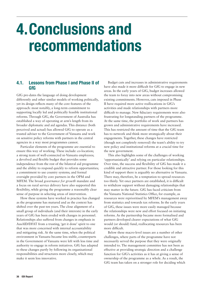# 4.Conclusions and recommendations

# 4.1. Lessons from Phase I and Phase II of GfG

GfG pre-dates the language of doing development differently and other similar models of working politically, yet its design reflects many of the core features of the approach: most notably, a long-term commitment to supporting locally led and politically feasible institutional reforms. Through GfG, the Government of Australia has established a way of operating at arm's length from its broader diplomatic and aid agendas. This distance (both perceived and actual) has allowed GfG to operate as a trusted adviser to the Government of Vanuatu and work on sensitive policy reforms with partners in the central agencies in a way most programmes cannot.

Particular elements of the programme are essential to ensure this way of working. These include: co-location; a strong team of well-connected ni-Vanuatu employees; a devolved and flexible budget that provides some independence from the rest of the bilateral aid programme and the ability to respond quickly to reform opportunities; a commitment to use country systems; and formal oversight provided by core partners in the OPM and MFEM. The broad *governance for growth* mandate and a focus on rural service delivery have also supported this flexibility, while giving the programme a reasonably clear sense of purpose in selecting areas of intervention.

How these systems have worked in practice has changed as the programme has matured and as the context has shifted over the past ten years. The close alignment of a small group of individuals (and their interests) in the early years of GfG has been eroded with changes in personnel. Relationships also suffered from changes in emphasis in AusAID/DFAT from a trusting, 'get it done' spirit to one that was more concerned with internal accountability and mitigating risk. At the same time, when the political environment in Vanuatu became less stable, counterparts in the Government of Vanuatu were left with less time and authority to engage in reform initiatives. GfG has adapted to these changes partly by following its organisational responsibilities and structures more closely, which may make it seem less innovative.

Budget cuts and increases in administrative requirements have also made it more difficult for GfG to engage in new areas. In the early years of GfG, budget increases allowed the team to foray into new areas without compromising existing commitments. However, cuts imposed in Phase II have required more active reallocations in GfG's activities and made relationships with partners more difficult to manage. New fiduciary requirements were also frustrating for longstanding partners of the programme. At the same time, the portfolio of work and partners has grown and administrative requirements have increased. This has restricted the amount of time that the GfG team has to network and think more strategically about their engagements. Together, these changes have restricted (though not completely removed) the team's ability to try new policy and institutional reforms at a crucial time for the new government.

This also highlights some of the challenges of working 'opportunistically' and relying on particular relationships. Over time, the success and flexibility of GfG has made it a credible and attractive partner. For those looking for this kind of support there is arguably no alternative in Vanuatu. There may, therefore, be a temptation to spread resources too thinly. Yet once partners are established, it is difficult to withdraw support without damaging relationships that may matter in the future. GfG has faced criticism from the Vanuatu National Statistics Office, for example, as resources were reprioritised by MFEM's management away from statistics and towards tax reforms. In the early years of GfG, these issues were more easily managed because the relationships were new and effort focused on initiating reforms. As the partnership became more formalised and partners developed clearer expectations of what GfG would (or should) fund, reallocating resources has been more difficult.

Below these macro-level issues are a number of other challenges, where parts of the programme have not necessarily served the purpose that they were originally intended to. The management committee has not been as effective at providing strategic direction and a challenge function for GfG's activities as it has at giving a sense of ownership of the programme as a whole. As a result, the GfG team has taken on a stronger role for deciding which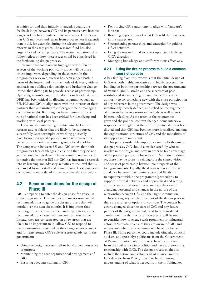activities to fund than initially intended. Equally, the feedback loops between GfG and its partners have become longer as GfG has broadened into new areas. This means that GfG monitors and learns from progress less frequently than it did, for example, during the telecommunications reforms in the early years. The research fund has also largely lacked a clear purpose. The recommendations that follow reflect on how these issues could be considered in the forthcoming design process.

International comparisons highlight how different aspects of the working politically model will be more or less important, depending on the context. In the programmes reviewed, success has been judged both in terms of the impact and also the mode of delivery, with an emphasis on building relationships and brokering change (rather than driving it) to provide a sense of partnership. Operating at arm's length from donors such as DFAT and DFID has been critical in allowing programmes such as BSI, PLP and GfG to align more with the interests of their partners than a mainstream aid programme or managing contractor might. Branding has been minimal and the role of national staff has been critical for identifying and working with local partners.

There are also interesting insights into the kinds of reforms and problems that are likely to be supported successfully. Most examples of working politically have focused on specific policies and have changed the behaviours of a relatively small group of stakeholders. The comparison between BSI and GfG shows that both programmes face challenges in ensuring that they do not get overstretched as demand from counterparts grows. It is notable that neither BSI nor GfG has integrated research into its learning and advisory activities to the level that is demanded from its staff and counterparts. These points are considered in more detail in the recommendations below.

# 4.2. Recommendations for the design of Phase III

GfG is preparing to enter the design phase for Phase III of the programme. This final section makes some initial recommendations to guide the design process that will unfold over the next six months. It is important that the design process remains open and exploratory, so the recommendations presented here are not prescriptive. Instead, they are concentrated on a few areas that are likely to be important to (a) allow GfG to respond to the opportunities presented by the change in government and (b) reinvigorate GfG's role as a trusted adviser to the government:

- **•** Using the design process itself to build a common sense of purpose.
- **•** Maintaining the core organisational arrangements of GfG.
- **•** Ensuring adequate staffing of GfG.
- **•** Reinforcing GfG's autonomy to align with Vanuatu's interests.
- **•** Resetting expectations of what GfG is likely to achieve in the next phase.
- **•** Strengthening partnerships and strategies for guiding GfG's activities.
- **•** Using the research fund to reflect upon and challenge GfG's direction.
- **•** Managing knowledge and staff transitions effectively.

## 4.2.1. Using the design process to build a common sense of purpose

A key finding from this review is that the initial design of GfG was both highly innovative and highly successful in building on both the partnership between the governments of Vanuatu and Australia and the successes of past institutional strengthening. It combined considerable authority to try something new with the close participation of key reformers in the government. The design was intentionally loosely defined, and relied on the alignment of interests between various individuals as well as good bilateral relations. As the reach of the programme grew and the political context changed, some interview respondents thought that the spirit of partnership has been diluted and that GfG has become more formalised, making the organisational structures of GfG and the modalities of its support more important.

This puts considerable importance on the forthcoming design process. GfG should consider carefully who to involve in the design, and how, in order to take advantage of the prevailing appetite for reform in Vanuatu. In doing so, there may be scope to reinvigorate the shared vision and sense of partnership between counterparts of the two governments. Equally, the design will need to strike a balance between maintaining space and flexibility to experiment within the programme (particularly to support informal networks and approaches) and setting appropriate formal structures to manage the risks of changing personnel and changes in the nature of the relationship between GfG and the High Commission.

In selecting key people to be part of the design process, there are a range of options to consider. The context has clearly changed since the start of GfG and any future partner of the programme will need to be considered carefully within that context. However, it will be useful to consider how to engage with prominent or influential actors in Vanuatu, to ensure they are aware of GfG and understand what the programme will have to offer in Phase III. Those personnel could include officials, political advisers and (possibly) politicians from the Government of Vanuatu (particularly those who have transitioned from the civil service into politics and have a pre-existing relationship with GfG). The design process might also include the future counsellor, head of mission and the GfG director from DFAT, to help to build a strong understanding of what is needed from them. Taking key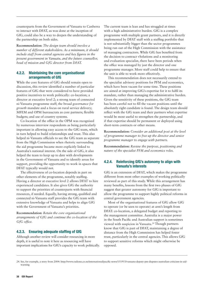counterparts from the Government of Vanuatu to Canberra to interact with DFAT, as was done at the inception of GfG, could also be a way to deepen the understanding of the partnership on both sides.

**Recommendation:** *The design team should involve a number of different stakeholders. As a minimum, it should include staff from central agencies and key figures in the present government in Vanuatu, and the future counsellor, head of mission and GfG director from DFAT.*

## 4.2.2. Maintaining the core organisational arrangements of GfG

While the core features of GfG should remain open to discussion, this review identified a number of particular features of GfG that were considered to have provided positive incentives to work politically: co-location; a director at executive level 2; a strong team of connected ni-Vanuatu programme staff; the broad *governance for growth* mandate and a focus on rural service delivery; MFEM and OPM bureaucrats as core partners; flexible budgets; and use of country systems.

Co-location of the office in the OPM was recognised by numerous interview respondents as being particularly important in allowing easy access to the GfG team, which in turn helped to build relationships and trust. This also helped ni-Vanuatu officials to see the GfG team as separate from the High Commission when rhetoric surrounding the aid programme became more explicitly linked to Australia's national interest. On the side of GfG, it also helped the team to keep up to date with developments in the Government of Vanuatu and to identify areas for support, providing the opportunity to work in spaces that DFAT typically would not.

The effectiveness of co-location depends in part on other elements of the programme, notably staffing. Having a director at executive level 2 allows DFAT to hire experienced candidates. It also gives GfG the authority to support the priorities of counterparts with financial resources, if needed. Equally, having strong, qualified and connected ni-Vanuatu staff provides the GfG team with extensive knowledge of Vanuatu and helps to align GfG with the Government of Vanuatu's priorities.

**Recommendation:** *Retain the core organisational arrangements of GfG and continue the co-location of the GfG office.*

## 4.2.3. Ensuring adequate staffing of GfG

Although another review will consider resourcing in more depth, it is useful to note it here as resourcing will have important implications for GfG's capacity to work politically. The current team is lean and has struggled at times with a high administrative burden. GfG is a complex programme with multiple grant partners, and it is directly implemented by DFAT staff with a staffing portfolio that is not substantially bigger than the sector programmes being run out of the High Commission with the assistance of managing contractors. While GfG has benefited from the decision to contract vSolutions and a monitoring and evaluation specialist, there have been periods when the office was managed by just the director and one programme manager. More staff could help to ensure that the unit is able to work more effectively.

This recommendation does not necessarily extend to the specialist advisory positions for PFM and economics, which have been vacant for some time. These positions are aimed at improving GfG's expertise for it to fulfil its mandate, rather than managing the administrative burden. Given the sensitivity of these positions, the GfG team has been careful not to fill the vacant positions until the absolutely right candidate is found. The design team should reflect with the GfG team and their partners what expertise would be most useful to strengthen the partnership, and if that expertise should be permanent or deployed using short-term contracts or other means.

**Recommendation:** *Consider an additional post at the level of programme manager to free up the director and senior programme manager to engage with partners.*

**Recommendation:** *Review the purpose, positioning and nature of the specialist PFM and economics roles.*

## 4.2.4. Reinforcing GfG's autonomy to align with Vanuatu's interests

GfG is an extension of DFAT, which makes the programme different from most other examples of working politically reviewed as part of this study. While this arrangement has many benefits, lessons from the first two phases of GfG suggest that greater autonomy for GfG is important to allow the programme to support highly political reforms in central government agencies.

Most of the organisational features of GfG allow GfG to operate (or be seen to operate) at arm's length from DFAT: co-location, a delegated budget and reporting to the management committee. Australia is a major power in the South Pacific and Australian support is sometimes viewed with suspicion in Vanuatu.24 Though partners know that GfG is part of DFAT, maintaining a degree of distance from the High Commission has helped foster trust, particularly in the central agencies. This allows GfG to support sensitive reforms which might otherwise be opposed.

<sup>24.</sup> See, for example, a story from 2004: http://www.radionz.co.nz/international/pacific-news/151953/vanuatu-deputy-pm-disputes-australian-criticism-in-aidwarning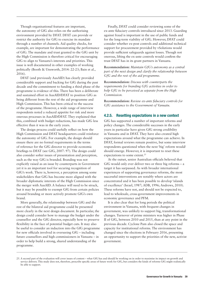Though organisational features are important, the autonomy of GfG also relies on the authorising environment provided by DFAT. DFAT can provide or restrict the authority for GfG to exercise its mandate through a number of channels. Aid quality checks, for example, are important for demonstrating the performance of GfG. The mandate and trust granted to the GfG unit by the High Commission is therefore critical for encouraging GfG to align to Vanuatu's interests and priorities. This issue is well documented in other examples of working politically (Booth & Unsworth, 2014: 22-23; Bain et al., 2016).

DFAT (and previously AusAID) has clearly provided considerable support and backing for GfG during the past decade and the commitment to funding a third phase of the programme is evidence of this. There has been a deliberate and sustained effort in AusAID/DFAT to position GfG as being different from the rest of the aid programme and High Commission. This has been critical to the success of the programme. However, a wide range of interview respondents noted a reduced appetite for risk and more onerous processes in AusAID/DFAT. They explained that this, combined with budget reductions, has made GfG less effective than it was in the early years.

The design process could usefully reflect on how the High Commission and DFAT headquarters could reinforce the autonomy of GfG. For example, the design should ensure there are no formal requirements in the terms of reference for the GfG director to provide economic briefings to DFAT (see GfG, 2007: 97). The design could also consider softer issues of presentation and perception, such as the way GfG is branded. Branding was not explicitly raised as an issue by counterparts in Government yet it is an important tool for securing recognition of GfG's work. There is, however, a perception among some stakeholders that GfG has become more aligned with the broader diplomatic interests of the High Commission since the merger with AusAID. A balance will need to be struck, but it may be possible to exempt GfG from certain policies around branding or more actively promote GfG's own brand.

More generally, the relationship between GfG and the rest of the bilateral aid programme could be presented more clearly in the next design document. In particular, the design could consider how to manage the budget under the counsellor and the GfG director, especially how to preserve flexibility in the face of potential budget cuts. It may also be useful to consider an induction into the GfG programme for new officials involved in overseeing GfG – including future counsellors and high commissioners in Vanuatu – in order to help build a strong, shared understanding of the programme.

Finally, DFAT could consider reviewing some of the ex-ante fiduciary controls introduced since 2013. Guarding against fraud is important in the use of public funds and for the long-term viability of GfG. However, DFAT could consider whether ex-post controls and additional technical support for procurement provided by vSolutions would provide sufficient safeguards against losses. Though not onerous, lifting the ex-ante controls would confirm the trust DFAT has in its grant partners in Vanuatu.

**Recommendation:** *Maintain GfG's autonomy as a central part of the next design and clarify the relationship between GfG and the rest of the aid programme.*

**Recommendation:** *Discuss with counterparts the requirements for branding GfG activities in order to help GfG to be perceived as separate from the High Commission.* 

**Recommendation:** *Review ex-ante fiduciary controls for GfG assistance to the Government of Vanuatu.*

#### 4.2.5. Resetting expectations in a new context

GfG has supported a number of important reforms and policy changes. The considerable successes in the early years in particular have given GfG strong credibility in Vanuatu and in DFAT. They have also created high expectations around what the programme can achieve. In DFAT, formal reviews remain positive, but some interview respondents questioned when the next 'big' reform would/ should emerge. However, it is important to reset these expectations to some extent.<sup>25</sup>

At the outset, senior Australian officials believed that GfG would only ever deliver two or three big reforms – a target it has surpassed. As with broader international experiences of supporting governance reforms, the most successful interventions are notably where actors are concentrated and it has been possible to develop 'islands of excellence' (Israel, 1987; ADB, 1996; Andrews, 2010). These reforms have not, and should not be expected to, lead to wholesale, cross-government improvements in economic governance and PFM.

It is also clear that for long periods the political environment in Vanuatu, with frequent changes in government, was unlikely to support big, transformational changes. Turnover of prime ministers was higher in Phase II of GfG, between 2010 and 2015, than at any point in the previous decade. Cyclone Pam also closed the space and capacity for institutional reforms. The environment has changed since the elections in February 2016, presenting an opportunity to support the priorities of the new, activist government.

<sup>25.</sup> A second part of the evaluation will cover issues of content – what GfG has and should be working on in order to maximise its impact on growth and service delivery. This study does not, therefore, prescribe specific areas of future work for GfG, but considers the kinds of reforms GfG might realistically be able to support.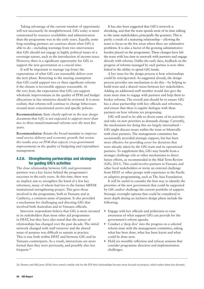Taking advantage of the current window of opportunity will not necessarily be straightforward. GfG today is more constrained by resource availability and administration than the programme was in the early years. Equally, some long-standing partners are cautious about what GfG is able to do – including warnings from two interviewees that GfG should not engage in highly political issues of a sovereign nature, such as the introduction of income taxes. However, there is a significant opportunity for GfG to support the new government at a crucial time.

It will be important to manage (up front) the expectations of what GfG can reasonably deliver over the next phase. Returning to the starting assumption that GfG could support two or three significant reforms if the climate is favourable appears reasonable. At the very least, the expectation that GfG can support wholesale improvements in the quality of PFM and budget allocations in line ministries should be reviewed. It is more realistic that reforms will continue to change behaviours around more concentrated actors and specific policies.

**Recommendation:** *State clearly upfront in the new design document that GfG is not expected to support more than two to three transformational reforms over the next five years.*

**Recommendation:** *Retain the broad mandate to improve rural service delivery and economic growth, but review the results area on PFM that expects cross-government improvements in the quality of budgeting and expenditure management.* 

## 4.2.6. Strengthening partnerships and strategies for guiding GfG's activities

The close relationship between GfG and government partners was a key factor behind the programme's successes in the early years. At this time, there was an implicit aim to strengthen the hand of a few key reformers, many of whom had ties to the former MFEM institutional strengthening project. This gave those involved in the programme, both in Vanuatu and in Canberra, a common sense of purpose. It also provided a mechanism for challenging and directing GfG that involved both Australian and ni-Vanuatu officials.

Interview respondents believe that GfG is more invested in its stakeholders than most other aid programmes in DFAT, but they have also noted that the nature of relationships has changed over the past decade. The initial network changed with staff turnover and the shared sense of purpose was difficult to sustain in practice. This is true both within DFAT and between GfG and its Vanuatu counterparts. As a result, interactions are more formal than they were previously, and possibly also less frequent.26

It has also been suggested that GfG's network is shrinking, and that the team spends most of its time talking to the same stakeholders, principally the grantees. This is partly a result of a maturing relationship – allowing the team to focus on the few areas where there are substantive problems. It is also a factor of the growing administrative burden placed on the programme. These changes have left the team with less time to network with partners and engage directly with reforms. Unlike the early days, feedback on the progress of reforms managed by each partner is now often linked to the ability to spend GfG funds.

A key issue for the design process is how relationships could be reinvigorated. As suggested already, the design process provides one mechanism to do this – by helping to build trust and a shared vision between key stakeholders. Adding an additional staff member would also give the team more time to engage with partners and help them to broker reforms. The overall aim should be to ensure GfG has a close partnership with key officials and reformers, and ensure that there is regular dialogue with these partners on how reforms are progressing.

GfG will need to be able to divest some of its activities and take on new priorities as demands change. Currently, the mechanisms for doing this are largely internalised – GfG might discuss issues within the team or bilaterally with close partners. The management committee has occasionally provided strategic support, but has been more effective for providing cover for decisions that were already taken by the GfG team and its operational partners. To supplement this, GfG may benefit from a stronger challenge role or other mechanisms to direct future efforts, as recommended in the Mid-Term Review (GfG, 2011). This could involve partners in Vanuatu and other local stakeholders or invite an external challenge from DFAT or other groups with experience in the Pacific or adaptive programming, such as The Asia Foundation.

It will be useful to consider the best way to identify the priorities of the new government that could be supported by GfG and/or challenge the current portfolio of support. Strategic oversight options that could be considered in more depth during an inclusive design phase include the following:

- **•** Engage with key officials and politicians to raise awareness of what support GfG can provide for the government's reform agenda.
- **•** Conduct a 'deep dive' into the progress on a selected reform issue with the management committee, asking what has been done, what has been learnt and what could be done next.
- **•** Hold six-monthly reflection and refocus sessions that consider programme direction and implementation challenges.

<sup>26.</sup> Denney and McLaren (2016) have noted a similar risk for the PLP that relationships become more focused on projects, which makes them less dynamic.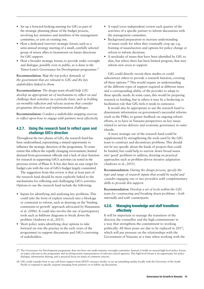- **•** Set up a forward-looking meeting for GfG as part of the strategic planning phase of the budget process, involving key ministers and members of the management committee, or join an existing one.
- **•** Host a dedicated (narrow) strategic forum, such as a semi-annual strategy meeting of a small, carefully selected group of senior allies to brainstorm on future directions for GfG support.
- **•** Host a broader strategic forum, to provide wider oversight and dialogue, possibly even in public, as is done in the Timor-Leste's Governance for Development programme.<sup>27</sup>

**Recommendation:** *Map the top policy demands of the government that are relevant to GfG and the key stakeholders linked to them.*

**Recommendation:** *The design team should help GfG develop an appropriate set of mechanisms to reflect on and challenge their activities on a periodic basis, such as holding six-monthly reflection and refocus sessions that consider programme direction and implementation challenges.* 

**Recommendation:** *Conduct a stakeholder mapping exercise to reflect upon how to engage with partners most effectively.*

## 4.2.7. Using the research fund to reflect upon and challenge GfG's direction

Throughout the two phases of GfG, the research fund has been underutilised, representing a missed opportunity to influence the strategic direction of the programme. To some extent this reflects the rapidly changing environment, limited demand from government officials and a lack of clear function for research in supporting GfG's activities (as noted in the previous review of Phase I). It has also been an easy target for budget cuts with the rest of GfG's budget largely committed.

The suggestion from this review is that at least part of the research fund should be more explicitly linked to the mechanisms for reflecting and challenging GfG's activities. Options to use the research fund include the following:

- **•** Inputs for identifying and analysing key problems. This could take the form of explicit research into a blockage or constraint to reform, such as drawing on the 'binding constraints to growth' approach advocated by Hausmann et al. (2006). It could also involve the use of participatory tools such as fishbone diagrams to break down the problem (Andrews et al., 2015).
- **•** Short policy notes identifying clear options to take forward (as was the practice in the early years of the programme) to support discussions and GfG's convening of stakeholders.
- **•** A rapid (even independent) review each quarter of the activities of a specific partner to inform discussions with the management committee.
- **•** Background preparation to increase understanding of issues ready for when they eventually crop up: e.g. framing of issues/sectors and options for policy change or reform to inform decisions.
- **•** A stocktake of issues that have been identified by GfG to date, but where there has been limited progress, that may inform new areas to support.

GfG could directly recruit these studies or could subcontract others to provide a research function, covering all these options.28 This would require an understanding of the different types of support required at different times and a corresponding ability of the provider to adapt to these specific needs. In some cases, this would be preparing research or briefing, but in others it may be a brokering or facilitation role that GfG feels it needs to outsource.

It would also be appropriate to use the research fund to disseminate information on government's successful reforms (such as the FSBs), to garner feedback on ongoing reform efforts, or to have ni-Vanuatu perspectives on key issues related to service delivery and economic governance in outer islands.

A more strategic use of the research fund could be supplemented by strengthening the tools used by the GfG team to construct and deconstruct problems. This should not be too specific about the kinds of projects that could be funded, but could help to narrow down broad issues into 'good' problems to address, drawing on practical approaches such as problem-driven iterative adaptation (Andrews et al., 2015).

**Recommendation:** *During the design process, specify the type and range of research inputs that would be useful and consider engaging one or two providers with complementary skills to provide this support.*

**Recommendation:** *Develop a set of tools within the GfG team for constructing and breaking down problems – both internally and with counterparts.*

## 4.2.8. Managing knowledge and staff transitions effectively

It will be important to manage the transition of the director, the counsellor and the high commissioner in a way that strengthens the commitment to working politically. All three posts are due to be replaced in 2017, which will put pressure on the relationships with the Government of Vanuatu at a time when working with the

28. GfG could consider how to use call down support from DFAT's resource facility or set up something similar locally with the University of the South Pacific to respond to specific requests emerging from partners or to follow up discussions.

<sup>27.</sup> The Governance for Development programme does not have one multi-ministry oversight committee. Instead, it holds an annual high-level policy forum, on topics relevant to the programme and involving senior representatives of relevant central agencies. This high-level forum is an opportunity for policy dialogue, information sharing, and a practical focus on issues of common concern.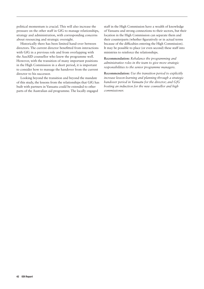political momentum is crucial. This will also increase the pressure on the other staff in GfG to manage relationships, strategy and administration, with corresponding concerns about resourcing and strategic oversight.

Historically there has been limited hand-over between directors. The current director benefitted from interactions with GfG in a previous role and from overlapping with the AusAID counsellor who knew the programme well. However, with the transition of many important positions in the High Commission in a short period, it is important to consider how to manage the handover from the current director to his successor.

Looking beyond the transition and beyond the mandate of this study, the lessons from the relationships that GfG has built with partners in Vanuatu could be extended to other parts of the Australian aid programme. The locally engaged

staff in the High Commission have a wealth of knowledge of Vanuatu and strong connections to their sectors, but their location in the High Commission can separate them and their counterparts (whether figuratively or in actual terms because of the difficulties entering the High Commission). It may be possible to place (or even second) these staff into ministries to reinforce the relationships.

**Recommendation:** *Rebalance the programming and administrative roles in the team to give more strategic responsibilities to the senior programme managers.*

**Recommendation:** *Use the transition period to explicitly increase lesson-learning and planning through a strategic handover period in Vanuatu for the director; and GfG hosting an induction for the new counsellor and high commissioner.*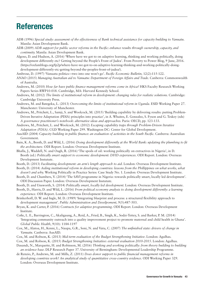# References

- ADB (1996) *Special study: assessment of the effectiveness of Bank technical assistance for capacity building to Vanuatu.*  Manila: Asian Development Bank.
- ADB (2009) *ADB support for public sector reforms in the Pacific: enhance results through ownership, capacity, and continuity.* Manila: Asian Development Bank.
- Algoso, D. and Hudson, A. (2016) 'Where have we got to on adaptive learning, thinking and working politically, doing development differently etc? Getting beyond the People's Front of Judea'. From Poverty to Power Blog, 9 June, 2016. (https://oxfamblogs.org/fp2p/where-have-we-got-to-on-adaptive-learning-thinking-and-working-politically-doingdevelopment-differently-etc-getting-beyond-the-peoples-front-of-judea/).
- Ambrose, D. (1997) 'Vanuatu politics—two into one won't go'. *Pacific Economic Bulletin,* 12(2):115-122.
- ANAO (2015) *Managing Australian aid to Vanuatu: Department of Foreign Affairs and Trade*. Canberra: Commonwealth of Australia.
- Andrews, M. (2010) *How far have public finance management reforms come in Africa?* HKS Faculty Research Working Papers Series RWP10-018. Cambridge, MA: Harvard Kennedy School.
- Andrews, M. (2012) *The limits of institutional reform in development: changing rules for realistic solutions.* Cambridge: Cambridge University Press.
- Andrews, M. and Bategeka, L. (2013) *Overcoming the limits of institutional reform in Uganda*. ESID Working Paper 27. Manchester: University of Manchester.
- Andrews, M., Pritchett, L., Samji, S. and Woolcock, M. (2015) 'Building capability by delivering results: putting Problem-Driven Iterative Adaptation (PDIA) principles into practice', in A. Whaites, E. Gonzalez, S. Fyson and G. Teskey (eds) *A governance practitioner's notebook: alternative ideas and approaches.* Paris: OECD, pp. 123-133.
- Andrews, M., Pritchett, L. and Woolcock, M. (2012) *Escaping capability traps through Problem-Driven Iterative Adaptation (PDIA)*. CGD Working Paper 299*.* Washington DC: Center for Global Development.
- AusAID (2004) *Capacity building in public finance: an evaluation of activities in the South Pacific.* Canberra: Australian Government.
- Bain, K. A., Booth, D. and Wild, L. (2016) *Doing development differently at the World Bank: updating the plumbing to fit the architecture.* ODI Report. London: Overseas Development Institute.
- Bhalla, J., Waddell, N. and Ough, R. (2016) 'The spoils of oil: working politically on extractives in Nigeria', in D. Booth (ed.) *Politically smart support to economic development: DFID experiences*. ODI Report. London: Overseas Development Instutute.
- Booth, D. (2013) *Facilitating development: an arm's length approach to aid.* London: Overseas Development Institute.
- Booth, D. (2014) *Aiding institutional reform in developing countries: lessons from the Phillippines on what works, what doesn't and why.* Working Politically in Practice Series: Case Study No. 1. London: Overseas Development Institute.
- Booth, D. and Chambers, V. (2014) 'The SAVI programme in Nigeria: towards politically smart, locally led development'. ODI Discussion Paper. London: Overseas Development Instutute.
- Booth, D. and Unsworth, S. (2014) *Politically smart, locally led development.* London: Overseas Development Institute.
- Booth, D., Harris, D. and Wild, L. (2016) *From political economy analysis to doing development differently: a learning experience.* ODI Report. London: Overseas Development Institute.
- Brinkerhoff, D. W. and Ingle, M. D. (1989) 'Integrating blueprint and process: a structured flexibility approach to development management'. *Public Administration and Develpoment,* 9(5):487-503.
- Bryan, K. and Carter, P. (2016) *Contracts for adaptive programming*. ODI Report. London: Overseas Development Institute.
- Cofie, L. E., Barrington, C., Akaligaung, A., Reid, A., Fried, B., Singh, K., Sodzi-Tettey, S. and Barker, P. M. (2014) 'Integrating community outreach into a quality improvement project to promote maternal and child health in Ghana'. *Global Public Health*, 9(10): 1184-1197
- Cox, M., Alatoa, H., Kenni, L., Naupa, G.R., Soni, N. and Vatu, C. (2007) *The unfinished state: drivers of change in Vanuatu.* Canberra: AusAID.
- Cox, M. and Robson, K. (2013) *Mid-term evaluation of the Budget Strengthening Initiative*. London: Agulhas.
- Cox, M. and Robson, K. (2015) *Budget Strengthening Initiative: external evaluation 2010-2015*. London: Agulhas.
- Dasandi, N., Marquette, H. and Robinson, M. (2016) *Thinking and working politically: from theory building to building an evidence base.* DLP Research Paper 37. University of Birmingham: Developmental Leadership Programme.
- de Renzio, P., Andrews, M. and Mills, Z. (2011) *Does donor support to public financial management reforms in developing countries work? An analytical study of quantitative cross-country evidence.* ODI Working Paper 329. London: Overseas Development Institute.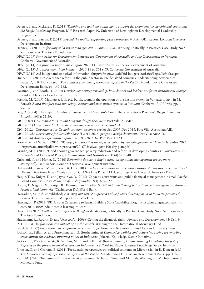- Denney, L. and McLaren, R. (2016) *Thinking and working politically to support developmental leadership and coalitions: the Pacific Leadership Program.* DLP Research Paper 40. University of Birmingham: Developmental Leadership Programme.
- Denney, L. and Barron, P. (2015) *Beyond the toolkit: supporting peace processes in Asia.* ODI Report. London: Overseas Development Institute.
- Denney, L. (2016) *Reforming solid waste management in Phnom Penh*. Working Politically in Practice: Case Study No 8. San Francisco: The Asia Foundation.
- DFAT (2009) *Partnership for Development between the Government of Australia and the Government of Vanuat*u. Canberra: Government of Australia.
- DFAT (2014) *Aid program performance report 2013-14: Timor Leste.* Canberra: Government of Australia.

DFAT (2015) *Aid Investment Plan Vanuatu: 2015-16 to 2018-19*. Canberra: Government of Australia.

- DFAT (2016) Aid budget and statistical information. (http://dfat.gov.au/aid/aid-budgets-statistics/Pages/default.aspx)
- Duncan, R. (2011) 'Governance reform in the public sector in Pacific island countries: understanding how culture matters', in R. Duncan (ed.) *The political economy of economic reform in the Pacific*. Mandaluyong City: Asian Development Bank, pp. 140-162.
- Faustino, J. and Booth, D. (2014) *Development entrepreneurship: how donors and leaders can foster institutional change.*  London: Overseas Development Institute.
- Forsyth, M. (2009) 'Mat, kava, faol, pig, buluk, woman: the operation of the kastom system in Vanuatu today', in M. Forsyth *A bird that flies with two wings: kastom and state justice systems in Vanuatu.* Canberra: ANU Press, pp. 95-137.
- Gay, D. (2004) 'The emperor's tailor: an assessment of Vanuatu's Comprehensive Reform Program'. *Pacific Economic Bulletin,* 19(3): 22-39.

GfG (2007) *Governance for Growth program design document.* Port Vila: AusAID.

GfG (2011) *Governance for Growth: mid-term review*. Port Vila: AusAID.

GfG (2012a) *Governance for Growth program: program review Sep 2007-Dec 2011.* Port Vila: Australian AID.

- GfG (2012b) *Governance for Growth phase II 2012-2016: program design document.* Port Vila: AusAID.
- GfG (2016) *Annual expenditure reports 2011/12-2015/16.* Port Vila: DFAT.
- Government of Vanuatu (2016) *100 days plan: priorities for implementation by Vanuatu government March-December 2016*. (https://vanuatudaily.files.wordpress.com/2016/02/salwai-govt-100-day-plan.pdf)
- Grindle, M. S. (2004) 'Good enough governance: poverty reduction and reform in developing countries'. *Governance: An International Journal of Policy, Administration and Institutions,* 17(4):525-548.
- Gulrajani, N. and Honig, D. (2016) *Reforming donors in fragile states: using public management theory more strategically.* ODI Report. London: Overseas Development Institute.
- Hallward-Driemeier, M. and Pritchett, L. (2010) *How business is done and the 'doing business' indicators: the investment climate when firms have climate control.* CID Working Paper 211. Cambridge MA: Harvard University Press.
- Haque, T. A., Knight, D. and Jayasuriya, D. (2015) 'Capacity constraints and public financial management in small Pacific Island Countries'. *Asia & the Pacific Policy Studies* 2(3): 609-622.
- Haque, T., Nagaraj, V., Bontjer, R., Krause, P. and Hadley, S. (2016) *Strengthening public financial management reform in Pacific Island Countries.* Washington DC: World Bank.
- Harradine, M. (n.d. unpublished) *Assessing impacts of improved public financial management in Vanuatu provincial centres.* Draft Provincial PFM report. Port Vila:GfG.
- Harrington, P. (2016) 'PDIA notes 2: learning to learn.' Building State Capability Blog. (https://buildingstatecapability. com/2016/10/05/pdia-notes-2-learning-to-learn/).
- Harris, D. (2016) *Leather sector reform in Bangladesh.* Working Politically in Practice Case Study No 7. San Francisco: The Asia Foundation.
- Hausmann, R., Rodrik, D. and Velasco, A. (2006) 'Getting the diagnosis right'. *Finance and Development,* 43(1): 1-9.
- IMF (2013) *The functions and impact of fiscal councils.* Washington DC: International Monetary Fund.

Israel, A. (1987) *Institutional development: incentives to performance.* Baltimore: Johns Hopkins University Press.

- Jackson, E., Pellini, A. and Prasetiamartati, B. (forthcoming a) *Knowledge, politics and policy: improving the enabling environment for evidence-informed policy in Indonesia.* Jakarta: Knowledge Sector Initiative.
- Jackson, E., Prasetiamartati, B., Sadikin, M. C. and Pellini, A. (forthcoming b) *Commissioning knowledge for policy: Reforms in the procurement of research in Indonesia.* KSI Working Paper. Jakarta: Knowledge Sector Initiative.
- Johnson, G. and Graham, B. (2011) 'Presidential perspectives on political economy in Micronesia', in R. Duncan (ed.) *The political economy of economic reform in the Pacific.* Mandaluyong City: Asian Development Bank, pp. 115-138.
- Kidd, M. (2010) *Tax administration in small economies.* Technical Notes and Manuals. Washington DC: International Monetary Fund.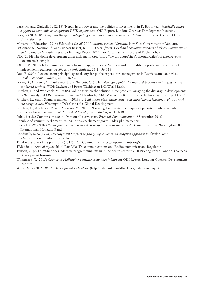- Laric, M. and Waddell, N. (2016) 'Nepal, hydropower and the politics of investment', in D. Booth (ed.) *Politically smart support to economic development: DFID experiences*. ODI Report. London: Overseas Development Instutute.
- Levy, B. (2014) *Working with the grain: integrating governance and growth in development strategies.* Oxford: Oxford University Press.
- Ministry of Education (2014) *Education for all 2015 national review: Vanuatu.* Port Vila: Government of Vanuatu.
- O'Connor, S., Naemon, A. and Sijapati-Basnet, B. (2011) *Net effects: social and economic impacts of telecommunications and internet in Vanuatu*. Research Findings Report 2011. Port Vila: Pacific Institute of Public Policy.
- ODI (2014) The doing development differently manifesto. (https://www.odi.org/sites/odi.org.uk/files/odi-assets/eventsdocuments/5149.pdf)
- 'Ofa, S. V. (2010) Telecommunications reform in Fiji, Samoa and Vanuatu and the credibility problem: the impact of independent regulators. *Pacific Economic Bulletin,* 25(1): 96-113.
- Paul, E. (2006) Lessons from principal-agent theory for public expenditure management in Pacific island countries'. *Pacific Economic Bulletin,* 21(2): 36-52.
- Porter, D., Andrews, M., Turkewitz, J. and Wescott, C. (2010) *Managing public finance and procurement in fragile and conflicted settings.* WDR Background Paper. Washington DC: World Bank.
- Pritchett, L. and Woolcock, M. (2008) 'Solutions when the solution is the problem: arraying the dissaray in development', in W. Easterly (ed.) *Reinventing foreign aid.* Cambridge MA: Massachusetts Institute of Technology Press, pp. 147-177.
- Pritchett, L., Samji, S. and Hammer, J. (2013a) *It's all about MeE: using structured experimental learning ("e") to crawl the design space.* Washington DC: Center for Global Development.
- Pritchett, L., Woolcock, M. and Andrews, M. (2013b) 'Looking like a state: techniques of persistent failure in state capacity for implementation'. *Journal of Development Studies,* 49(1):1-18.
- Public Service Commission (2016) Data on all active staff. *Personal Communication*, 9 September 2016.
- Republic of Vanuatu Parliament (2016). (https://parliament.gov.vu/index.php/memebers).
- Riechel, K.-W. (2002) *Public financial management: principal issues in small Pacific Island Countries.* Washington DC: International Monetary Fund.
- Rondinelli, D. A. (1993) *Development projects as policy experiments: an adaptive approach to development administration.* London: Routledge.
- Thinking and working politically (2013) TWP Community. (https://twpcommunity.org/).
- TRR (2016) *Annual report 2015.* Port Vila: Telecommunications and Radiocommunications Regulator.
- Tulloch, O. (2015) 'What does 'adaptive programming' mean in the health sector?' ODI Briefing Paper. London: Overseas Development Institute.
- Williamson, T. (2015) *Change in challenging contexts: how does it happen?* ODI Report. London: Overseas Development Institute.
- World Bank (2016) *World Development Indicators*. (http://databank.worldbank.org/data/home.aspx)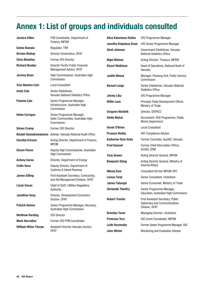# Annex 1: List of groups and individuals consulted

| <b>Jessica Alilee</b>                          | FSB Coordinator, Department of<br>Finance, MFEM                                                                       | <b>Alice Kalontano-Kailes</b> | GfG Programme Manager                                                                             |
|------------------------------------------------|-----------------------------------------------------------------------------------------------------------------------|-------------------------------|---------------------------------------------------------------------------------------------------|
|                                                |                                                                                                                       | Jennifer Kalpokas-Doan        | GfG Senior Programme Manager                                                                      |
| <b>Dalsie Baniala</b><br><b>Kirsten Bishop</b> | Regulator, TRR<br>Director Governance, DFAT                                                                           | <b>Simil Johnson</b>          | Government Statistician, Vanuatu<br><b>National Statistics Office</b>                             |
| <b>Chris Bleakley</b>                          | Former GfG Director                                                                                                   | <b>Nigel Malosu</b>           | Acting Director, Treasury, MFEM                                                                   |
| <b>Richard Bontjer</b>                         | Director Pacific Public Financial<br>Management Advice, DFAT                                                          | <b>Stuart Mathison</b>        | Head of Operations, National Bank of<br>Vanuatu                                                   |
| <b>Jeremy Bruer</b>                            | High Commissioner, Australian High<br>Commission                                                                      | <b>Judith Melsul</b>          | Manager, Planning Unit, Public Service<br>Commission                                              |
| <b>Tess Newton Cain</b>                        | <b>Local Consultant</b>                                                                                               | <b>Benuel Lenge</b>           | Senior Statistician, Vanuatu National                                                             |
| <b>Andy Calo</b>                               | Senior Statistician,<br>Vanuatu National Statistics Office                                                            | <b>Jimmy Liku</b>             | <b>Statistics Office</b><br>GfG Programme Manager                                                 |
| <b>Pamela Calo</b>                             | Senior Programme Manager,<br>Infrastructure, Australian High                                                          | <b>Willie Luen</b>            | Principal Trade Development Officer,<br>Ministry of Trade                                         |
| <b>Helen Corrigan</b>                          | Commission<br>Senior Programme Manager,<br>Safer Communities, Australian High<br>Commission                           | <b>Gregoire Nimbtik</b>       | Director, DSPACC                                                                                  |
|                                                |                                                                                                                       | <b>Stella Nishai</b>          | Accountant, R4D Programme, Public<br><b>Works Department</b>                                      |
| <b>Simon Cramp</b>                             | Former GfG Director                                                                                                   | Derek O'Brien                 | <b>Local Consultant</b>                                                                           |
|                                                | Beulah Daunakamakama Adviser, Vanuatu National Audit Office                                                           | <b>Praveen Reddy</b>          | VAT Compliance Adviser                                                                            |
| <b>Dorothy Ericson</b>                         | Acting Director, Department of Finance,<br><b>MFEM</b>                                                                | <b>Katherine Ruiz-Avila</b>   | Former Councillor, AusAID, Vanuatu                                                                |
|                                                |                                                                                                                       | <b>Fred Samuel</b>            | Former Chief Information Officer,                                                                 |
| <b>Simon Flores</b>                            | Deputy High Commissioner, Australian<br><b>High Commission</b>                                                        |                               | OCGIO, OPM                                                                                        |
| <b>Antony Garae</b>                            | Director, Department of Energy                                                                                        | <b>Tony Sewen</b>             | Acting Director General, MFEM                                                                     |
| <b>Collin Gesa</b>                             |                                                                                                                       | <b>Benjamin Shing</b>         | Acting Director General, Ministry of<br><b>Internal Affairs</b>                                   |
|                                                | Deputy Director, Department of<br><b>Customs &amp; Inland Revenue</b>                                                 | Nikunj Soni                   | Consultant (former MFEM-ISP)                                                                      |
| <b>James Gilling</b>                           | First Assistant Secretary, Contracting                                                                                | <b>Leisau Tarip</b>           | Senior Consultant, vSolutions                                                                     |
| <b>Lizzie Govan</b>                            | and Aid Management Division, DFAT<br>Chief of Staff, Utilities Regulatory<br>Authority                                | <b>James Tatangis</b>         | Senior Economist, Ministry of Trade                                                               |
|                                                |                                                                                                                       | <b>Christelle Thieffry</b>    | Senior Programme Manager,                                                                         |
| Jonathan Gouy<br><b>Patrick Haines</b>         | Director, Development Economics<br>Section, DFAT<br>Senior Programme Manager, Recovery,<br>Australian High Commission |                               | Education, Australian High Commission                                                             |
|                                                |                                                                                                                       | <b>Robert Tranter</b>         | <b>First Assistant Secretary, Public</b><br><b>Diplomacy and Communications</b><br>Division, DFAT |
|                                                |                                                                                                                       |                               |                                                                                                   |
| <b>Mark Harradine</b>                          | Former GfG PFM Coordinator                                                                                            | <b>Primrose Toro</b>          | GfG Grant Coordinator, MFEM                                                                       |
| <b>William Hilton Thorpe</b>                   | Assistant Director Vanuatu Section,<br><b>DFAT</b>                                                                    | <b>Leith Veremaito</b>        | Former Senior Programme Manager, GfG                                                              |
|                                                |                                                                                                                       | <b>John Winter</b>            | Monitoring and Evaluation Adviser                                                                 |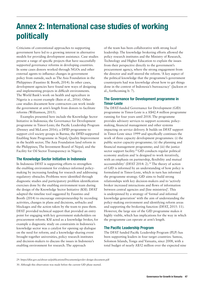# Annex 2: International case studies of working politically

Criticisms of conventional approaches to supporting government have led to a growing interest in alternative models for providing development assistance. Case studies present a range of specific projects that have successfully supported governance reforms in developing countries. In some cases donors worked through NGOs and other external agents to influence changes in government policy from outside, such as The Asia Foundation in the Philippines (Faustino & Booth, 2014). In other cases, development agencies have found new ways of designing and implementing projects in difficult environments. The World Bank's work on health and agriculture in Nigeria is a recent example (Bain et al., 2016). Other case studies document how contractors can work inside the government at arm's length from donors to facilitate reforms (Williamson, 2015).

Examples presented here include the Knowledge Sector Initiative in Indonesia; the Governance for Development programme in Timor-Leste; the Pacific Leadership Program (Denney and McLaren 2016); a DFID programme to support civil society groups in Burma; the DFID-supported Enabling State Programme in Nepal; Quality Improvement in the health sector; The Asia Foundation land reform in the Philippines; The Investment Board of Nepal; and the Facility for Oil Sector Transparency in Nigeria.

## The Knowledge Sector Initiative in Indonesia

In Indonesia DFAT is supporting efforts to strengthen the enabling environment for evidence-informed policymaking by increasing funding for research and addressing regulatory obstacles. Problems were identified through diagnostic studies and participatory problem identification exercises done by the enabling environment team during the design of the Knowledge Sector Initiative (KSI). DFAT adapted the timeline tool suggested by Faustino and Booth (2014) to encourage entrepreneurship by recording activities, changes in plans and decisions, setbacks and blockages and the action taken by the team to pass them. DFAT provided technical support that provided an entry point for engaging with key government stakeholders on procurement reform. KSI acted as a knowledge broker, for example a diagnostic study on constraints in Indonesia's knowledge sector was a catalyst for opening up dialogue on the need for reform; and a knowledge-sharing event brought together universities, policy research institutes and decision-makers to discuss the issues in Indonesia's enabling environment for research. The approach

of the team has been collaborative with strong local leadership. The knowledge brokering efforts allowed the policy research institutes and the Ministry of Research, Technology and Higher Education to explain the issues from their perspective directly to the government's procurement agency, where the strong engagement from the director and staff steered the reform. 'A key aspect of the political knowledge that the programme's government counterparts had was knowledge about how to get things done in the context of Indonesia's bureaucracy' (Jackson et al., forthcoming b: 7).

## The Governance for Development programme in Timor-Leste

The DFAT-funded Governance for Development (GfD) programme in Timor-Leste is a A\$42.4 million programme running for four years until 2018. The programme provides advisory services to support economic policymaking, financial management and other systems impacting on service delivery. It builds on DFAT support in Timor-Leste since 1999 and specifically continues the work of three capacity development programmes: (i) the public sector capacity-programme; (ii) the planning and financial management programme; and (iii) the justice sector support facility.<sup>29</sup> GfD conducts regular political economy analysis and 'is designed to work iteratively, with an emphasis on partnership, flexibility and mutual accountability' (DFAT 2014: 2).<sup>30</sup> The theory of action of GfD is informed by an understanding of how policy is formulated in Timor-Leste, which in turn has informed the programme strategy. GfD aims to build strong relationships with key decision-makers and to 'actively broker increased interactions and flows of information between central agencies and [line ministries]'. This is underpinned by a strategy of 'formal and informal knowledge generation' with the aim of understanding the policy-making environment and identifying reform areas and supporting the brokering function (DFAT, 2015: 11). However, the large size of the GfD programme makes it highly visible, which has implications for the way in which the programme can operate at arm's length.

## The Pacific Leadership Program

The DFAT funded Pacific Leadership Program (PLP) has been supporting leaders in four target countries: Samoa, Solomon Islands, Tonga and Vanuatu, since 2008, with a total budget of nearly A\$52 million over the expected nine

<sup>29.</sup> https://dfat.gov.au/about-us/publications/Documents/govdev-design-document.pdf

<sup>30.</sup> Although this observation was made before the current GfD phase started.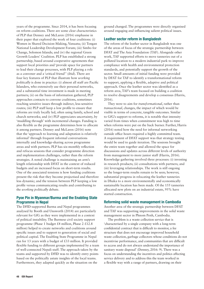years of the programme. Since 2014, it has been focusing on reform coalitions. There are some clear characteristics of PLP that Denney and McLaren (2016) emphasise in their paper that explored the work of four coalitions: (i) Women in Shared Decision-Making, Vanuatu; (ii) Tongan National Leadership Development Forum; (iii) Simbo for Change, Solomon Islands; and (iv) the regional Green Growth Leaders' Coalition. PLP has established a strong partnership, based around cooperative agreements that support local priorities and 'provide space for partners to lead their change processes, with PLP playing a role as a convener and a 'critical friend'' (ibid). There are four key features of PLP that illustrate how *working politically* is done in practice: (i) almost all staff are Pacific Islanders, who extensively use their personal networks, and a substantial time investment is made in meeting partners; (ii) on the basis of information gathered, PLP approaches contacts to convene coalitions, sometimes reaching sensitive issues through indirect, less-sensitive routes; (iii) PLP staff keep a low profile to ensure that reforms are truly locally led, often using family, school and church networks; and (iv) PLP appreciates uncertainty, by 'muddling through' with incremental changes. Funding is also flexible as the programme determines how to allocate it among partners. Denney and McLaren (2016) note that the 'approach to learning and adaptation is relatively informal' through frequent informal conversations internally and knowledge-sharing across programme areas and with partners. PLP has six-monthly reflection and refocus sessions that consider programme direction and implementation challenges, rather than the reform strategies. A noted challenge is maintaining an arm's length relationship with DFAT in the context of reduced budgets and an increased focus on short-term results. One of the associated tensions is how funding coalitions present the risk that they become projectised and therefore less dynamic; and the tension between PLP keeping a low profile versus communicating results and contributing to the *working politically* debate.

## Pyoe Pin in Myanmar/Burma and the Enabling State Programme in Nepal

The DFID-supported Burma and Nepal programmes analysed by Booth and Unsworth (2014) are particularly relevant for GfG as they were implemented in a context of political instability. The Burmese civil society support programme (Phase 1 budget £4 million, Phase 2 £12.8 million) helped to create networks and coalitions around specific issues and to support to generation of social and political capital. The Enabling State Programme in Nepal ran for 13 years with a budget of £33 million. It provided flexible funding to different groups implemented by a team of well-connected Nepali staff. The approach taken by the teams and supported by DFID was to identify entry points based on the politically astute insights of the local teams. Furthermore, they adapted quickly as the situation on the

ground changed. The programmes were directly organised around engaging and influencing salient political issues.

## Leather sector reform in Bangladesh

The reform of the leather sector in Bangladesh was one of the areas of focus of the strategic partnership between DFAT and The Asia Foundation (TAF). Alongside other work, TAF supported efforts to move tanneries out of a polluted location to a modern industrial park to improve compliance with health and environmental protection standards, and potentially support the growth of the sector. Small amounts of initial funding were provided by DFAT for TAF to identify a transformational reform to support, applying a flexible, adaptive and political approach. Once the leather sector was identified as a reform area, TAF's team focused on building a coalition to resolve disagreements and develop a consensus (Harris, 2016).

They were to aim for *transformational*, rather than *transactional*, changes, the impact of which would be visible in terms of concrete, tangible outcomes. Similar to GfG's support to reforms, it is notable that intensity varied from times when commitment was high to time when reforms were put on the back burner. Further, Harris (2016) noted how the need for informal networking outside office hours required a highly committed team. A requirement of DFAT support was that strategy testing would be used to guide iteration. The sessions brought the entire team together and allowed the space for discussions and updates across different levels of authority from management to more junior staff (Harris, 2016). Knowledge gathering involved three processes: (i) investing in research products; (ii) consultations with partners; and (iii) leveraging relationships. The work is still ongoing so the longer-term results remain to be seen; however, substantial progress in relocating the leather tanneries in Dhaka to a more environmentally and economically sustainable location has been made. Of the 155 tanneries allocated new plots on an industrial estate, 95% have started construction.

## Reforming solid waste management in Cambodia

Another area of the strategic partnership between DFAT and TAF was supporting improvements in the solid waste management sector in Phnom Penh, Cambodia.

The problem is a waste collection service that is 'characterised by a single company with a long-term confidential contract that is difficult to monitor, a fee structure that does not encourage improved household waste collection, garbage collectors whose conditions do not incentivise performance, and communities that are difficult to access and do not always understand the importance of sanitary waste disposal' (Denney, 2016: 9). There was a focus on understanding the incentives and politics affecting service delivery and to address this the team worked in a flexible way with a range of partners, drawing on their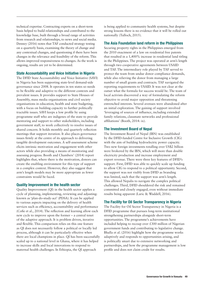technical expertise. Contracting experts on a short-term basis helped to build relationships and contributed to the knowledge base, built through a broad range of activities from research and relationships, to news and social media. Denney (2016) notes that TAF conducted strategy testing on a quarterly basis, examining the theory of change and any contextual changes, and questioning if there have been changes in the relevance and feasibility of the reform. This allows improved responsiveness to changes. As the work is ongoing, results are yet to be determined.

#### State Accountability and Voice Initiative in Nigeria

The DFID State Accountability and Voice Initiative (SAVI) in Nigeria has been supporting state-level demand-side governance since 2008. It operates in ten states so needs to be flexible and adaptive to the different contexts and prevalent issues. It provides support to State Houses of Assembly, mass media organisations and civil society organisations in education, health and state budgeting, with a focus on building capacity to further politically tractable issues. SAVI keeps a low profile by using programme staff who are indigenes of the state to provide mentoring and support to other stakeholders, including government staff, to work collectively to resolve issues of shared concern. It holds monthly and quarterly reflection meetings that support iteration. It also places governance issues firmly at the centre of its approach to delivering tangible development outcomes. A self-assessment scheme elicits intrinsic motivation and engagement with other actors while also providing a means of monitoring and assessing progress. Booth and Chambers' (2014) report highlights that, where there is the motivation, donors can create the enabling environment for this type of support in a complex context. However, they also suggest that arm's length models may be more appropriate as fewer constraints would be faced.

## Quality Improvement in the health sector

Quality Improvement (QI) in the health sector applies a cycle of planning, implementing, reviewing and adjusting: known as 'plan-do-study-act' (PDSA). It can be applied to various aspects impacting on the delivery of health services such as efficiency, accountability and performance (Cofie et al., 2014). The reflection and learning allow each new cycle to improve upon the former – a central tenet of the adaptive approach. It is problem driven, iterative and flexible. This comparison relies on this one feature as QI does not necessarily follow a political or locally led process, although it can be particularly effective when there are local champions in place. QI has been successfully scaled up to a national level in Ghana, where it has helped to increase skills and local innovations to respond to maternal health challenges. In Ethiopia, the QI approach

is being applied to community health systems, but despite strong lessons there is no evidence that it will be rolled out nationally (Tulloch, 2015).

#### The Asia Foundation land reform in the Philippines

Securing property rights in the Philippines emerged from the 2010 enactment of a law on residential free patents that resulted in a 1,400% increase in residential land titling in the Philippines. The project was operated at arm's length through two cooperative agreements between USAID and TAF. The intermediary role played by TAF served to protect the team from undue donor compliance demands, while also relieving the donor from managing a large number of small grants and contracts. TAF navigated the reporting requirements to USAID. It was not clear at the outset what the formula for success would be. The team of local activists discovered a way of formulating the reform objective to avoid major opposition and threatening entrenched interests. Several avenues were abandoned after an initial exploration. The gaining of support involved 'leveraging of sources of influence, including extended family relations, classmate networks and professional affiliations' (Booth, 2014: ix).

#### The Investment Board of Nepal

The Investment Board of Nepal (IBN) was established by the DFID-funded Centre for Inclusive Growth (CIG) with the aim of building hydroelectric power capacity. Two new foreign investments totalling over US\$2 billion were brokered by the IBN, which will more than double electricity production and increase employment and export revenue. There were three key features of DFID's support. First, DFID was able to quickly scale up funding to allow CIG to respond to a political opportunity. Second, the support was not visibly from DFID as branding was limited, such that the support was arm's length. This allowed Nepalis to navigate the complex political challenges. Third, DFID shouldered the risk and remained committed and closely engaged, even without immediate results being apparent (Laric & Waddell, 2016).

## The Facility for Oil Sector Transparency in Nigeria

The Facility for Oil Sector Transparency in Nigeria is a DFID programme that pursues long-term institutional strengthening partnerships alongside short-term opportunities. The programme's achievements have included helping to recoup over £300 million of Nigerian government funds and contributing to legislative change. Bhalla et al. (2016) highlight how the programme works adaptively and responds to opportunities arising, and is politically smart due to extensive networking and partnerships, and how the programme management is low profile and does not claim credit for results.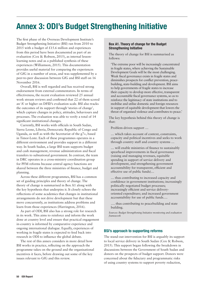# Annex 3: ODI's Budget Strengthening Initiative

The first phase of the Overseas Development Institute's Budget Strengthening Initiative (BSI) ran from 2010 to 2015 with a budget of  $£15.6$  million and experiences from this period have been documented as part of an evaluation (Cox & Robson, 2015), as internal lessonlearning notes and as a published synthesis of these experiences (Williamson, 2015). This documentation provides useful material for comparing the experiences of GfG in a number of areas, and was supplemented by a peer-to-peer discussion between GfG and BSI staff on 16 November 2016.

Overall, BSI is well regarded and has received strong endorsement from external commentators. In terms of effectiveness, the recent evaluation reviewed 25 annual work stream reviews and confirmed that 22 of them scored an 'A' or higher on DFID's evaluation scale. BSI also tracks the outcomes of its support through 'stories of change', which capture changes in policy, attitudes, behaviours and processes. The evaluation was able to verify a total of 14 significant institutional changes.

Currently, BSI works with officials in South Sudan, Sierra Leone, Liberia, Democratic Republic of Congo and Uganda, as well as with the Secretariat of the g7+, based in Timor-Leste. Each of these programmes operates in a different environment and provides support in a different way. In South Sudan, a large BSI team supports budget and cash management, revenue administration and fiscal transfers to subnational government. In contrast, the team in DRC operates in a cross-ministry coordination group for PFM reforms because central agency functions are shared between the three ministries of finance, budget and planning.

Across these different programmes, BSI has a common set of guiding principles and theory of change. The theory of change is summarised in Box A1 along with the key hypothesis that underpins it. It closely echoes the reflections of some academics that changes in institutional arrangements do not drive development but that these move concurrently, as institutions address problems and learn from those experiences (Harrington, 2016).

As part of ODI, BSI also has a strong role for research in its work. This aims to reinforce and inform the work done at country level and ensure that practical engagement in-country is informed by comparative experience and ongoing international dialogue. Equally, experiences of working in fragile states is expected to feed back into research in ODI to influence the global debate.

The rest of this annex considers in more detail how BSI works in practice, reflecting on the approach the programme takes on the ground and the organisational incentives it faces, before drawing out some of the key issues relevant to GfG and this review.

#### Box A1. Theory of change for the Budget Strengthening Initiative

The theory of change for BSI is summarised as follows:

'The extreme poor will be increasingly concentrated in fragile states, where achieving the Sustainable Development Goals will be the most challenging. Weak fiscal governance exists in fragile states and diminishes prospects for conflict prevention, peacebuilding, state-building and development. BSI aims to help governments of fragile states to increase their capacity to develop more effective, transparent and accountable fiscal governance systems, so as to reinforce the legitimacy of state institutions and to mobilise and utilise domestic and foreign resources in support of equitable development that lowers the threat of organised violence and contributes to peace.'

The key hypothesis behind this theory of change is that:

Problem-driven support …

… which takes account of context, constraints, capacity and political incentives and seeks to work through country staff and country systems …

… will enable ministries of finance to sustainably spearhead improvements in fiscal governance (raising and managing revenues, equitable spending in support of service delivery and development, and strengthening government accountability for transparent, efficient and effective use of public funds)…

… thus contributing to increased capacity and confidence in government institutions; increasingly politically negotiated budget processes; increasingly efficient and service deliveryoriented expenditure; and increased government accountability for use of public funds….

…. thus contributing to peacebuilding and state building.

*Sources: Budget Strengthening Initiative monitoring and evaluation framework*

## BSI's approach to supporting reforms

The stand-out intervention for BSI is arguably its support to local service delivery in South Sudan (Cox & Robson, 2015). This support began following the breakdown in discussions between the Government of South Sudan and donors on the prospects of budget support. Donors were concerned about the fiduciary and programmatic risks of using country systems to support poverty reduction,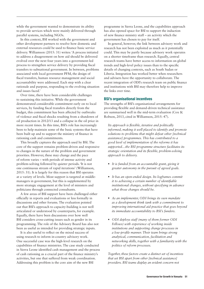while the government wanted to demonstrate its ability to provide services which were mainly delivered through parallel systems, including NGOs.

In this context, BSI worked with the government and other development partners to resolve how domestic and external resources could be used to finance basic service delivery. Williamson (2015: 31) writes: 'A process initiated to address a disagreement on how aid should be delivered evolved over the next four years into a government-led process to strengthen service delivery by providing fiscal transfers to subnational government. In between, problems associated with local government PFM, the design of fiscal transfers, human resource management and social accountability were addressed. Each step with a clear rationale and purpose, responding to the evolving situation and issues faced.'

Over time, there have been considerable challenges to sustaining this initiative. While the government demonstrated considerable commitment early on to local services, by funding fiscal transfers directly from the budget, this commitment has been affected by outbreaks of violence and fiscal shocks resulting from a shutdown of oil production in 2012/13 and a collapse in the oil price in more recent times. In this time, BSI's role has increasingly been to help maintain some of the basic systems that have been built up and to support the ministry of finance in rationing cash and commitments.

This broadly captures the approach used by BSI. The core of the support remains problem-driven and responsive to changes in the nature of the problem and government priorities. However, these may change and the pace of reform varies – with periods of intense activity and problem-solving followed by quieter periods. 'It is not one continuous stream of rapid iterations' (Williamson, 2015: 31). It is largely for this reason that BSI operates at a variety of levels. Most support is targeted at middlemanagers in government, but this is supplemented by more strategic engagement at the level of ministers and politicians through connected consultants.

A few areas of BSI support have been challenged either officially in reports and evaluations or less formally in discussions and other forums. The evaluation pointed out that BSI's approach to capacity-building is not well articulated or understood by counterparts, for example. Equally, there have been discussions over how well BSI considers cross-cutting issues such as gender in its programming. The role of the Advisory Board has also not been as useful as intended for providing strategic inputs.

It is also useful to reflect on the mixed success of using research to inform in-country advisory work. One successful case was the high-level research on the capabilities of finance ministries. The case study conducted in Sierra Leone identified cash management and the process of cash rationing as a crucial part of the finance ministry's activities, but one that suffered from weak coordination. Addressing this problem is the core aim of the new BSI

programme in Sierra Leone, and the capabilities approach has also opened space for BSI to support the induction of new finance ministry staff – an activity which the government has chosen to pay for itself.

In general, however, the link between advisory work and research has not been exploited as much as it potentially could. This may be partly because advisory work operates on a shorter timeframe than research. Equally, central research teams have better access to information on global trends and high-level policy issues than to the specific details of changing contexts, such as South Sudan or Liberia. Integration has worked better when researchers and advisers have the opportunity to collaborate. The recent integration of ODI's research team on public finance and institutions with BSI may therefore help to improve the links over time.

#### BSI's organisational incentives

The strengths of BSI's organisational arrangements for providing flexible and demand-driven technical assistance are summarised well in the mid-term evaluation (Cox & Robson, 2013, cited in Williamson, 2015: 47).

*Its approach is flexible, iterative and politically informed, making it well placed to identify and promote solutions to problems that might defeat other [technical assistance] programmes. This has contributed to a good level of implementation of the reforms it has supported…the BSI programme structure facilitates its strategic orientation and its flexible, problem-solving approach to delivery.*

- **•** *It is funded from an accountable grant, giving it greater autonomy in the pursuit of agreed goals.*
- **•** *It has an open-ended design. Its logframes commit it to achieving a certain number of identifiable institutional changes, without specifying in advance what those changes should be.*
- **•** *As an implementer, ODI brings its own mandate as a development think tank with a commitment to improving international aid practice that goes beyond its immediate accountability to BSI's funders.*
- **•** *ODI deploys staff (many of them former ODI Fellows) with experience of working inside institutions and supporting change processes in a low-profile manner. Their team brings strong analytical, communication, facilitation and networking skills, together with a familiarity with the politics of reform processes.*

*Together, these factors create a distinct set of incentives that set BSI apart from other [technical assistance] providers. BSI teams display an evident concern not*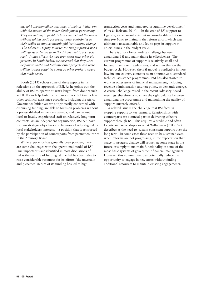*just with the immediate outcomes of their activities, but with the success of the wider development partnership. They are willing to facilitate processes behind the scenes without taking credit for them, which contributes to their ability to support meaningful institutional change. (The Liberian Deputy Minister for Budget praised BSI's willingness to 'move from the driving seat to the back seat'.) It also affects the way they work with other aid projects. In South Sudan, we observed that they were helping to shape and facilitate other projects and were willing to pass activities across to other projects where that made sense.*

Booth (2013) echoes some of these aspects in his reflections on the approach of BSI. As he points out, the ability of BSI to operate at arm's length from donors such as DFID can help foster certain incentives. BSI (and a few other technical assistance providers, including the Africa Governance Initiative) are not primarily concerned with disbursing funding, are able to focus on problems without a pre-established influencing agenda, and can recruit local or locally-experienced staff on relatively long-term contracts. As an independent organisation, BSI can have its own strategic objectives and be more closely aligned to local stakeholders' interests – a position that is reinforced by the participation of counterparts from partner countries in the Advisory Board.

While experience has generally been positive, there are some challenges with the operational model of BSI. One important issue identified in most discussions of BSI is the security of funding. While BSI has been able to raise considerable resources for its efforts, 'the uncertain and piecemeal nature of its funding has led to high

transaction costs and hampered programme development' (Cox & Robson, 2015: i). In the case of BSI support to Uganda, some consultants put in considerable additional time *pro bono* to maintain the reform effort, which was ultimately unsustainable and led to gaps in support at crucial times in the budget cycle.

There is also a longstanding challenge between expanding BSI and maintaining its effectiveness. The current programme of support is relatively small and focused mainly on fragile states, and within that on the budget cycle. However, the BSI model is applicable in most low-income country contexts as an alternative to standard technical assistance programmes. BSI has also started to work in other areas of financial management, including revenue administration and tax policy, as demands emerge. A crucial challenge raised in the recent Advisory Board meetings, therefore, is to strike the right balance between expanding the programme and maintaining the quality of support currently offered.

A related issue is the challenge that BSI faces in stopping support to key partners. Relationships with counterparts are a crucial part of delivering effective support through BSI. This requires a credible and often long-term partnership – or what Williamson (2015: 52) describes as the need to 'sustain consistent support over the long term'. In some cases these need to be sustained even when reforms are not progressing, in the expectation that space to progress change will reopen at some stage in the future or simply to maintain functionality in some of the most basic systems of government financial management. However, this commitment can potentially reduce the opportunity to engage in new areas without finding additional resources to maintain existing engagements.